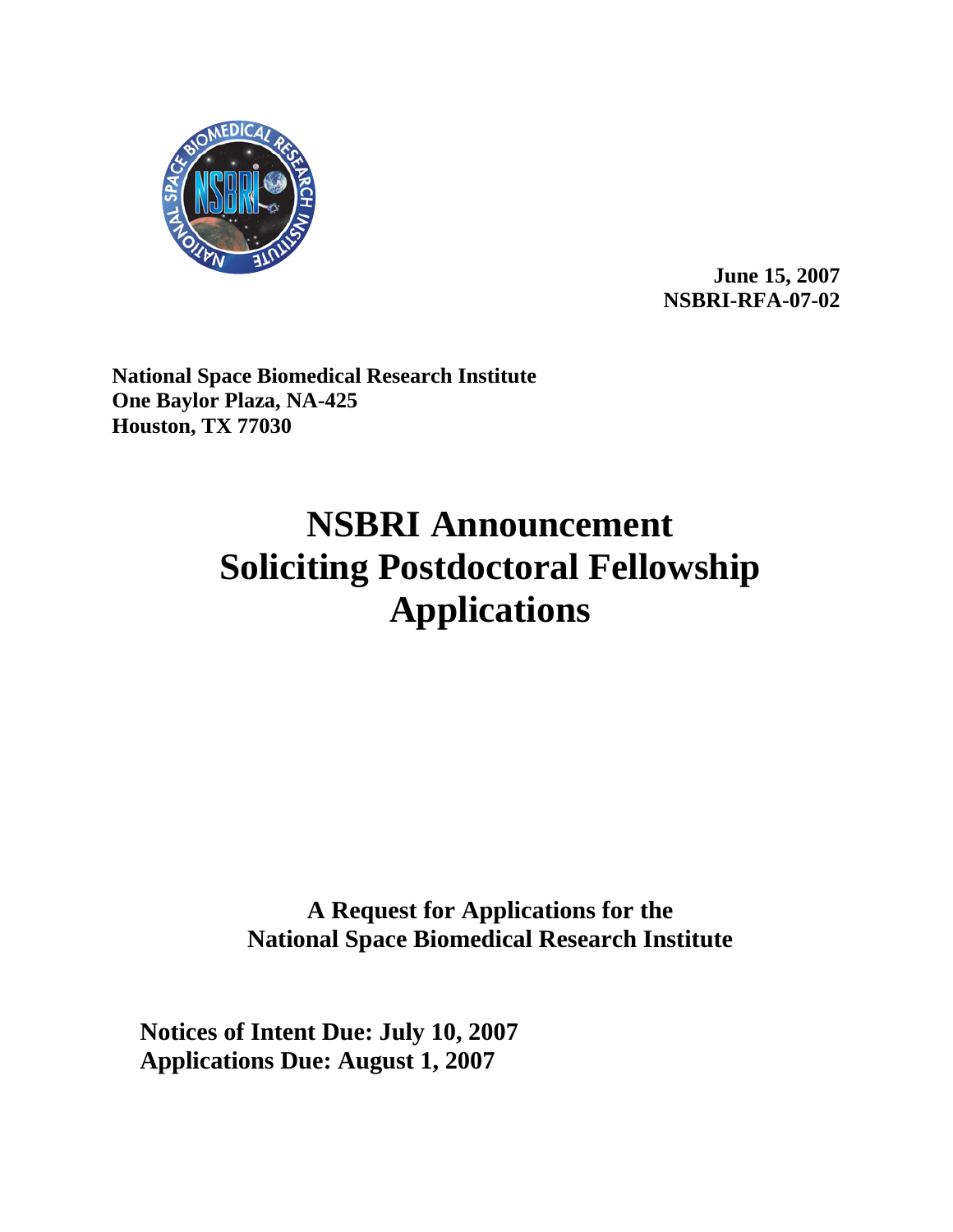

**June 15, 2007 NSBRI-RFA-07-02** 

**National Space Biomedical Research Institute One Baylor Plaza, NA-425 Houston, TX 77030**

# **NSBRI Announcement Soliciting Postdoctoral Fellowship Applications**

**A Request for Applications for the National Space Biomedical Research Institute**

**Notices of Intent Due: July 10, 2007 Applications Due: August 1, 2007**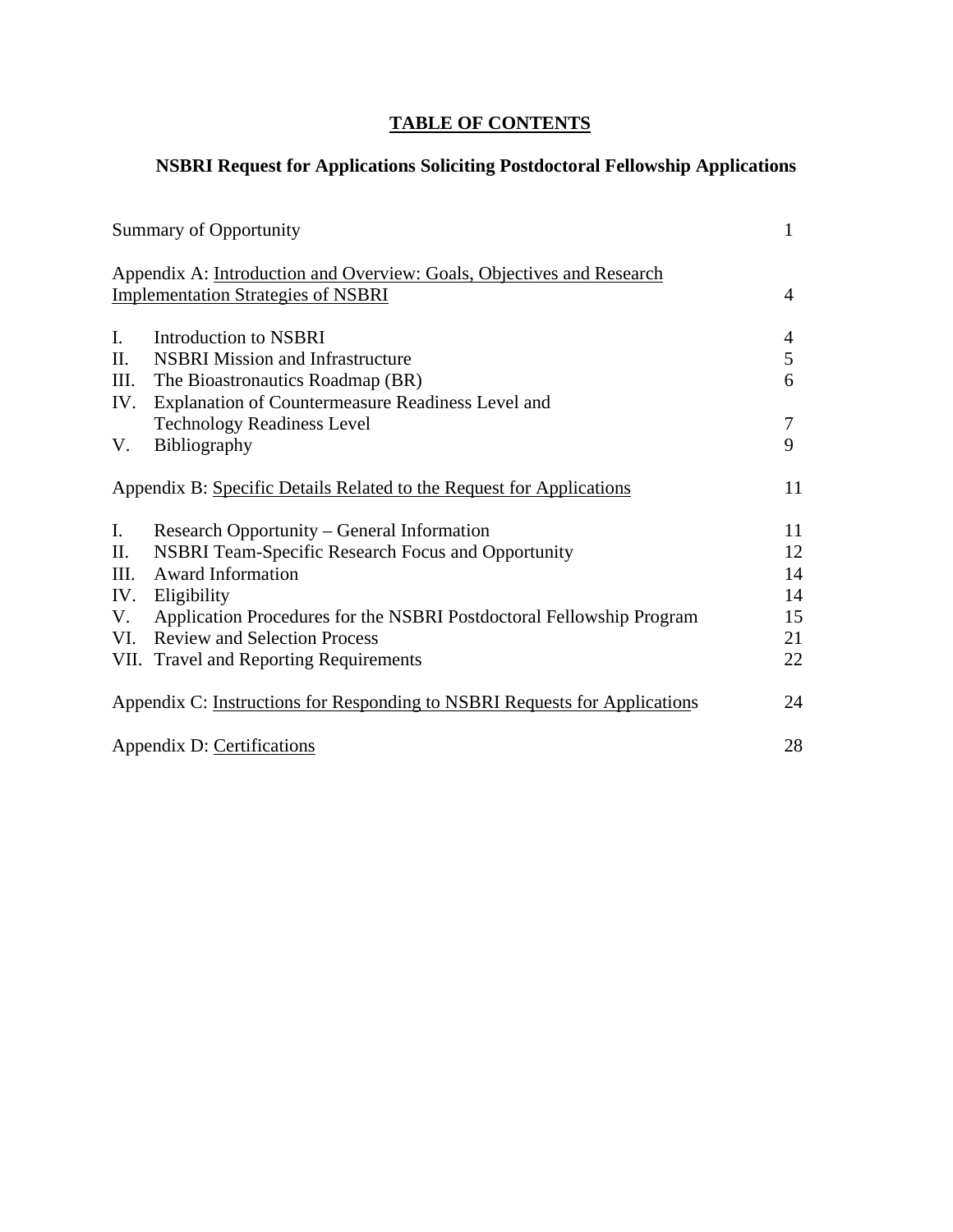# **TABLE OF CONTENTS**

# **NSBRI Request for Applications Soliciting Postdoctoral Fellowship Applications**

|             | Summary of Opportunity                                                                                             | 1  |
|-------------|--------------------------------------------------------------------------------------------------------------------|----|
|             | Appendix A: Introduction and Overview: Goals, Objectives and Research<br><b>Implementation Strategies of NSBRI</b> | 4  |
|             |                                                                                                                    |    |
| $I_{\cdot}$ | Introduction to NSBRI                                                                                              | 4  |
| П.          | <b>NSBRI</b> Mission and Infrastructure                                                                            | 5  |
| III.        | The Bioastronautics Roadmap (BR)                                                                                   | 6  |
| IV.         | Explanation of Countermeasure Readiness Level and                                                                  |    |
|             | <b>Technology Readiness Level</b>                                                                                  | 7  |
| V.          | Bibliography                                                                                                       | 9  |
|             | Appendix B: Specific Details Related to the Request for Applications                                               | 11 |
| Ι.          | Research Opportunity – General Information                                                                         | 11 |
| П.          | <b>NSBRI Team-Specific Research Focus and Opportunity</b>                                                          | 12 |
| III.        | <b>Award Information</b>                                                                                           | 14 |
| IV.         | Eligibility                                                                                                        | 14 |
| V.          | Application Procedures for the NSBRI Postdoctoral Fellowship Program                                               | 15 |
| VI.         | <b>Review and Selection Process</b>                                                                                | 21 |
|             | VII. Travel and Reporting Requirements                                                                             | 22 |
|             | Appendix C: Instructions for Responding to NSBRI Requests for Applications                                         | 24 |
|             | Appendix D: Certifications                                                                                         | 28 |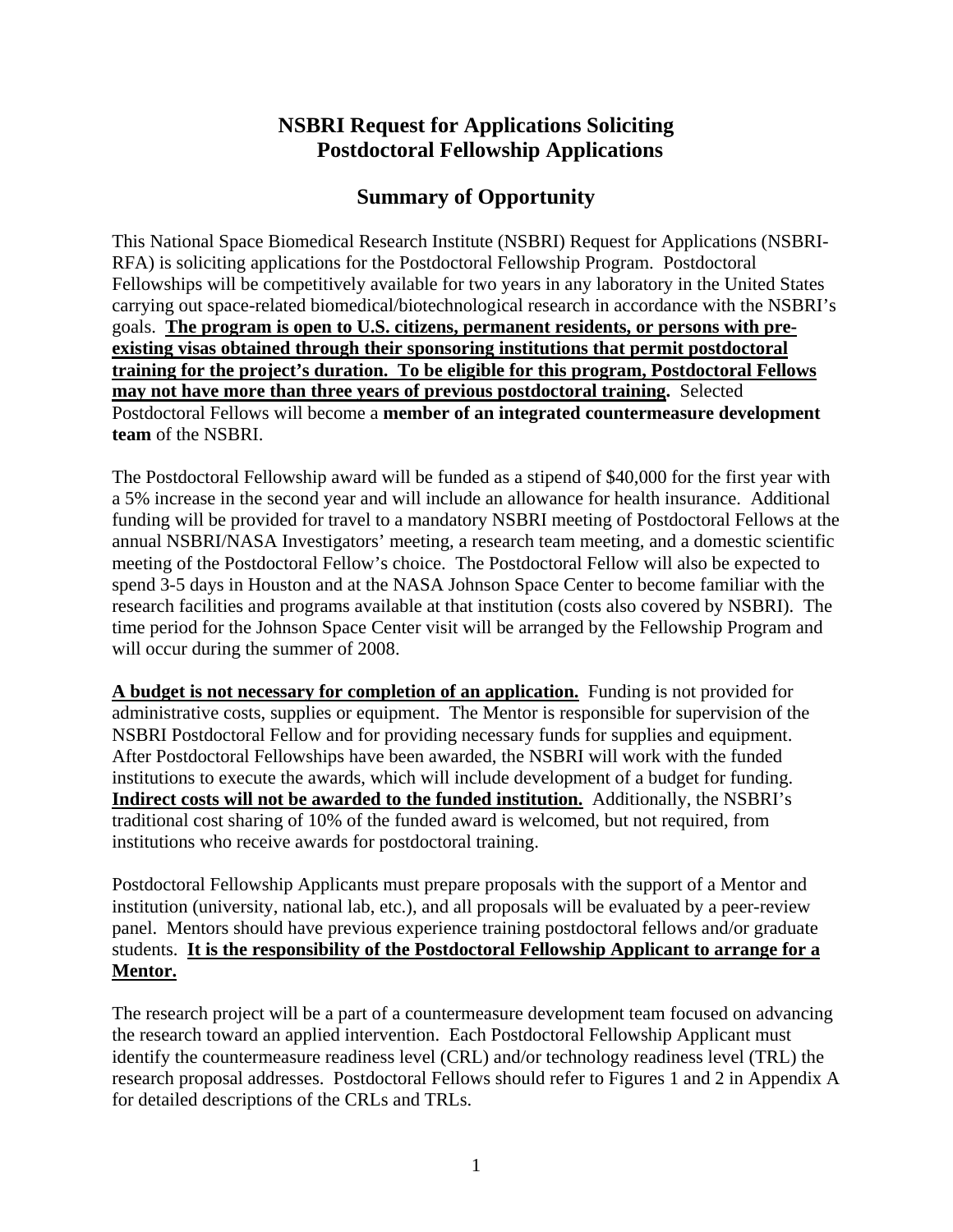# **NSBRI Request for Applications Soliciting Postdoctoral Fellowship Applications**

# **Summary of Opportunity**

This National Space Biomedical Research Institute (NSBRI) Request for Applications (NSBRI-RFA) is soliciting applications for the Postdoctoral Fellowship Program. Postdoctoral Fellowships will be competitively available for two years in any laboratory in the United States carrying out space-related biomedical/biotechnological research in accordance with the NSBRI's goals. **The program is open to U.S. citizens, permanent residents, or persons with preexisting visas obtained through their sponsoring institutions that permit postdoctoral training for the project's duration. To be eligible for this program, Postdoctoral Fellows may not have more than three years of previous postdoctoral training.** Selected Postdoctoral Fellows will become a **member of an integrated countermeasure development team** of the NSBRI.

The Postdoctoral Fellowship award will be funded as a stipend of \$40,000 for the first year with a 5% increase in the second year and will include an allowance for health insurance. Additional funding will be provided for travel to a mandatory NSBRI meeting of Postdoctoral Fellows at the annual NSBRI/NASA Investigators' meeting, a research team meeting, and a domestic scientific meeting of the Postdoctoral Fellow's choice. The Postdoctoral Fellow will also be expected to spend 3-5 days in Houston and at the NASA Johnson Space Center to become familiar with the research facilities and programs available at that institution (costs also covered by NSBRI). The time period for the Johnson Space Center visit will be arranged by the Fellowship Program and will occur during the summer of 2008.

**A budget is not necessary for completion of an application.** Funding is not provided for administrative costs, supplies or equipment. The Mentor is responsible for supervision of the NSBRI Postdoctoral Fellow and for providing necessary funds for supplies and equipment. After Postdoctoral Fellowships have been awarded, the NSBRI will work with the funded institutions to execute the awards, which will include development of a budget for funding. **Indirect costs will not be awarded to the funded institution.** Additionally, the NSBRI's traditional cost sharing of 10% of the funded award is welcomed, but not required, from institutions who receive awards for postdoctoral training.

Postdoctoral Fellowship Applicants must prepare proposals with the support of a Mentor and institution (university, national lab, etc.), and all proposals will be evaluated by a peer-review panel. Mentors should have previous experience training postdoctoral fellows and/or graduate students. **It is the responsibility of the Postdoctoral Fellowship Applicant to arrange for a Mentor.**

The research project will be a part of a countermeasure development team focused on advancing the research toward an applied intervention. Each Postdoctoral Fellowship Applicant must identify the countermeasure readiness level (CRL) and/or technology readiness level (TRL) the research proposal addresses. Postdoctoral Fellows should refer to Figures 1 and 2 in Appendix A for detailed descriptions of the CRLs and TRLs.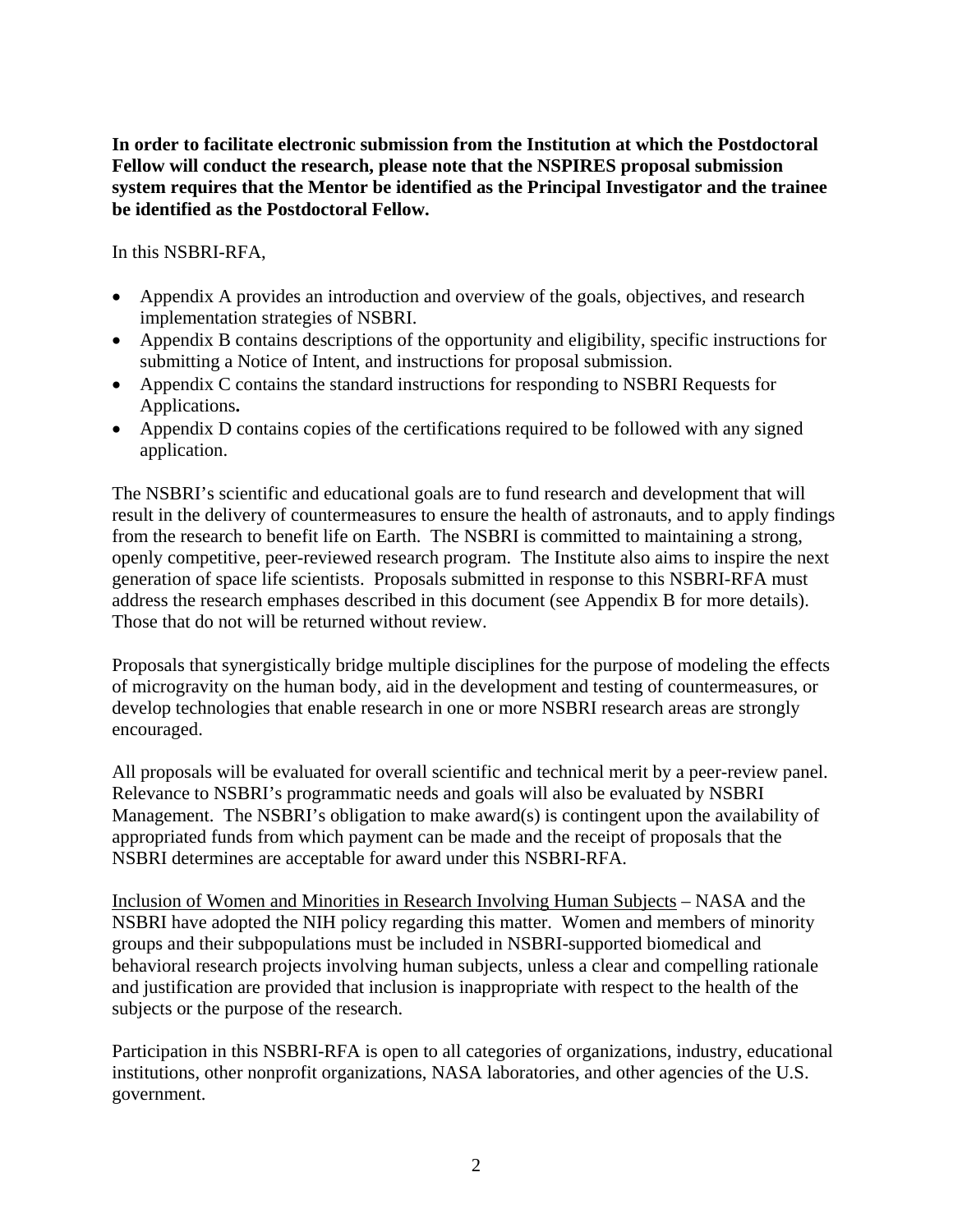**In order to facilitate electronic submission from the Institution at which the Postdoctoral Fellow will conduct the research, please note that the NSPIRES proposal submission system requires that the Mentor be identified as the Principal Investigator and the trainee be identified as the Postdoctoral Fellow.** 

In this NSBRI-RFA,

- Appendix A provides an introduction and overview of the goals, objectives, and research implementation strategies of NSBRI.
- Appendix B contains descriptions of the opportunity and eligibility, specific instructions for submitting a Notice of Intent, and instructions for proposal submission.
- Appendix C contains the standard instructions for responding to NSBRI Requests for Applications**.**
- Appendix D contains copies of the certifications required to be followed with any signed application.

The NSBRI's scientific and educational goals are to fund research and development that will result in the delivery of countermeasures to ensure the health of astronauts, and to apply findings from the research to benefit life on Earth. The NSBRI is committed to maintaining a strong, openly competitive, peer-reviewed research program. The Institute also aims to inspire the next generation of space life scientists. Proposals submitted in response to this NSBRI-RFA must address the research emphases described in this document (see Appendix B for more details). Those that do not will be returned without review.

Proposals that synergistically bridge multiple disciplines for the purpose of modeling the effects of microgravity on the human body, aid in the development and testing of countermeasures, or develop technologies that enable research in one or more NSBRI research areas are strongly encouraged.

All proposals will be evaluated for overall scientific and technical merit by a peer-review panel. Relevance to NSBRI's programmatic needs and goals will also be evaluated by NSBRI Management. The NSBRI's obligation to make award(s) is contingent upon the availability of appropriated funds from which payment can be made and the receipt of proposals that the NSBRI determines are acceptable for award under this NSBRI-RFA.

Inclusion of Women and Minorities in Research Involving Human Subjects – NASA and the NSBRI have adopted the NIH policy regarding this matter. Women and members of minority groups and their subpopulations must be included in NSBRI-supported biomedical and behavioral research projects involving human subjects, unless a clear and compelling rationale and justification are provided that inclusion is inappropriate with respect to the health of the subjects or the purpose of the research.

Participation in this NSBRI-RFA is open to all categories of organizations, industry, educational institutions, other nonprofit organizations, NASA laboratories, and other agencies of the U.S. government.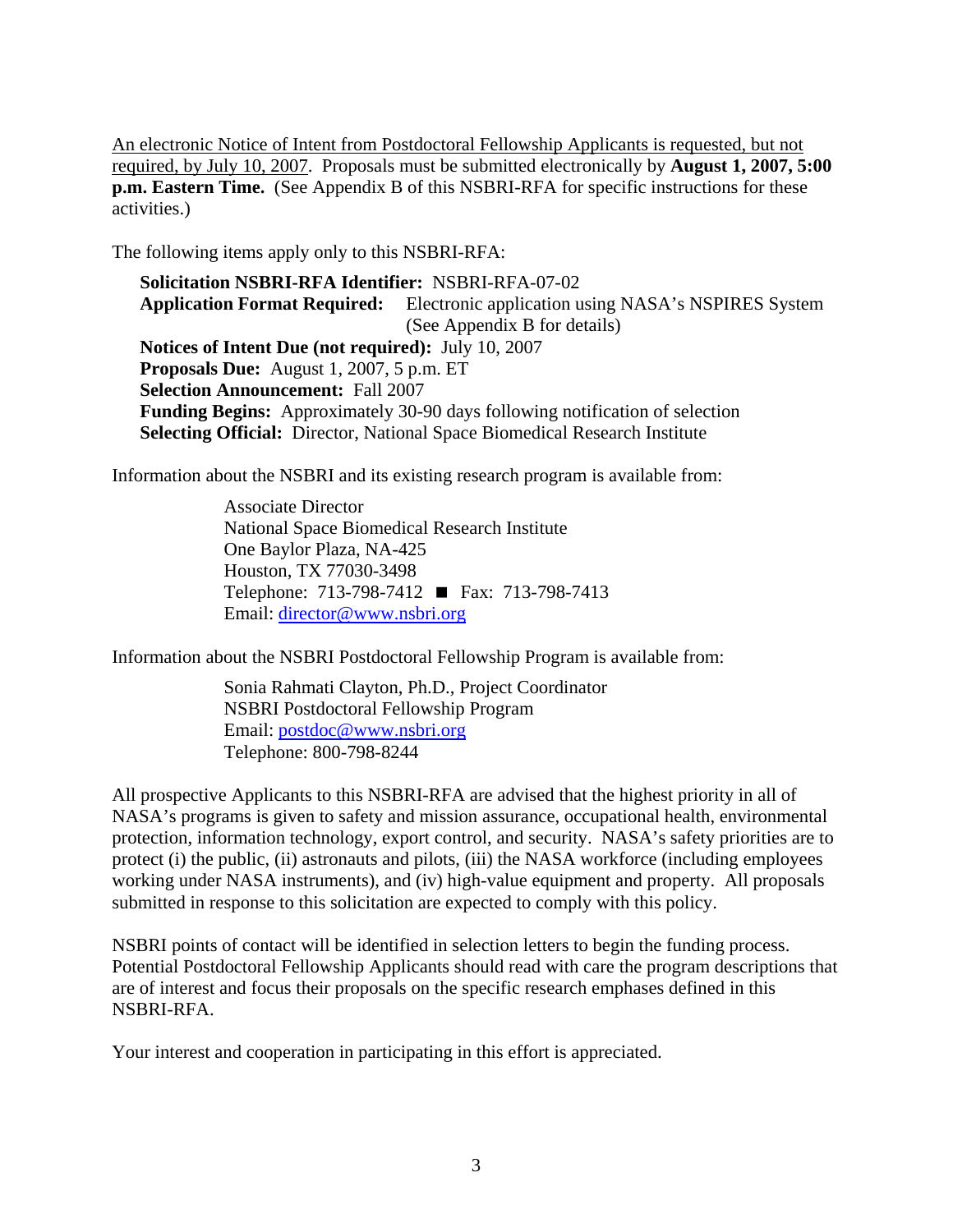An electronic Notice of Intent from Postdoctoral Fellowship Applicants is requested, but not required, by July 10, 2007. Proposals must be submitted electronically by **August 1, 2007, 5:00 p.m. Eastern Time.** (See Appendix B of this NSBRI-RFA for specific instructions for these activities.)

The following items apply only to this NSBRI-RFA:

**Solicitation NSBRI-RFA Identifier:** NSBRI-RFA-07-02 **Application Format Required:** Electronic application using NASA's NSPIRES System (See Appendix B for details) **Notices of Intent Due (not required):** July 10, 2007 **Proposals Due:** August 1, 2007, 5 p.m. ET **Selection Announcement:** Fall 2007 **Funding Begins:** Approximately 30-90 days following notification of selection **Selecting Official:** Director, National Space Biomedical Research Institute

Information about the NSBRI and its existing research program is available from:

Associate Director National Space Biomedical Research Institute One Baylor Plaza, NA-425 Houston, TX 77030-3498 Telephone: 713-798-7412 ■ Fax: 713-798-7413 Email: [director@www.nsbri.org](mailto:director@www.nsbri.org)

Information about the NSBRI Postdoctoral Fellowship Program is available from:

Sonia Rahmati Clayton, Ph.D., Project Coordinator NSBRI Postdoctoral Fellowship Program Email: [postdoc@www.nsbri.org](mailto:postdoc@www.nsbri.org) Telephone: 800-798-8244

All prospective Applicants to this NSBRI-RFA are advised that the highest priority in all of NASA's programs is given to safety and mission assurance, occupational health, environmental protection, information technology, export control, and security. NASA's safety priorities are to protect (i) the public, (ii) astronauts and pilots, (iii) the NASA workforce (including employees working under NASA instruments), and (iv) high-value equipment and property. All proposals submitted in response to this solicitation are expected to comply with this policy.

NSBRI points of contact will be identified in selection letters to begin the funding process. Potential Postdoctoral Fellowship Applicants should read with care the program descriptions that are of interest and focus their proposals on the specific research emphases defined in this NSBRI-RFA.

Your interest and cooperation in participating in this effort is appreciated.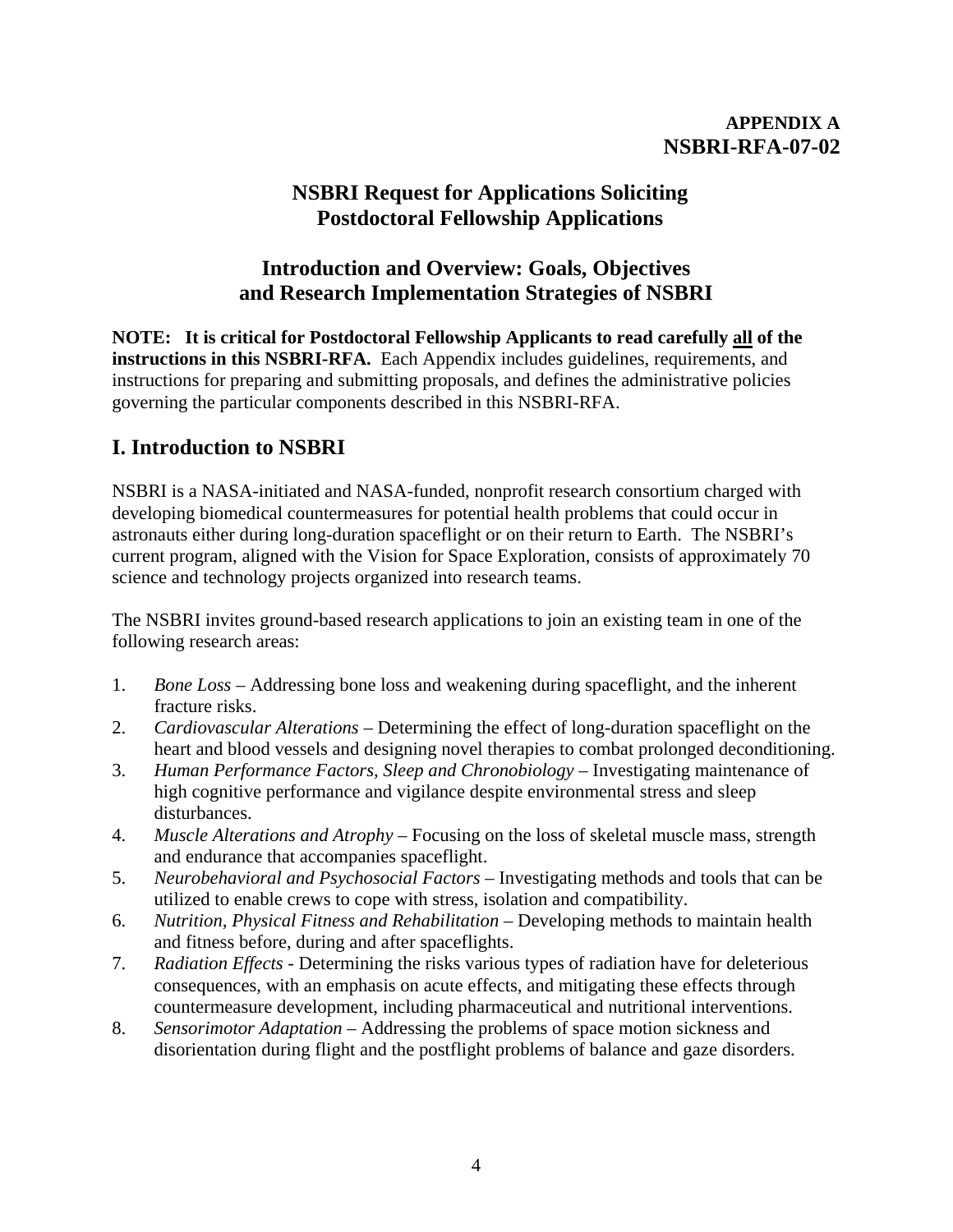# **APPENDIX A NSBRI-RFA-07-02**

# **NSBRI Request for Applications Soliciting Postdoctoral Fellowship Applications**

# **Introduction and Overview: Goals, Objectives and Research Implementation Strategies of NSBRI**

**NOTE: It is critical for Postdoctoral Fellowship Applicants to read carefully all of the instructions in this NSBRI-RFA.** Each Appendix includes guidelines, requirements, and instructions for preparing and submitting proposals, and defines the administrative policies governing the particular components described in this NSBRI-RFA.

# **I. Introduction to NSBRI**

NSBRI is a NASA-initiated and NASA-funded, nonprofit research consortium charged with developing biomedical countermeasures for potential health problems that could occur in astronauts either during long-duration spaceflight or on their return to Earth. The NSBRI's current program, aligned with the Vision for Space Exploration, consists of approximately 70 science and technology projects organized into research teams.

The NSBRI invites ground-based research applications to join an existing team in one of the following research areas:

- 1. *Bone Loss* Addressing bone loss and weakening during spaceflight, and the inherent fracture risks.
- 2. *Cardiovascular Alterations* Determining the effect of long-duration spaceflight on the heart and blood vessels and designing novel therapies to combat prolonged deconditioning.
- 3. *Human Performance Factors, Sleep and Chronobiology* Investigating maintenance of high cognitive performance and vigilance despite environmental stress and sleep disturbances.
- 4. *Muscle Alterations and Atrophy* Focusing on the loss of skeletal muscle mass, strength and endurance that accompanies spaceflight.
- 5. *Neurobehavioral and Psychosocial Factors* Investigating methods and tools that can be utilized to enable crews to cope with stress, isolation and compatibility.
- 6. *Nutrition, Physical Fitness and Rehabilitation*  Developing methods to maintain health and fitness before, during and after spaceflights.
- 7. *Radiation Effects* Determining the risks various types of radiation have for deleterious consequences, with an emphasis on acute effects, and mitigating these effects through countermeasure development, including pharmaceutical and nutritional interventions.
- 8. *Sensorimotor Adaptation* Addressing the problems of space motion sickness and disorientation during flight and the postflight problems of balance and gaze disorders.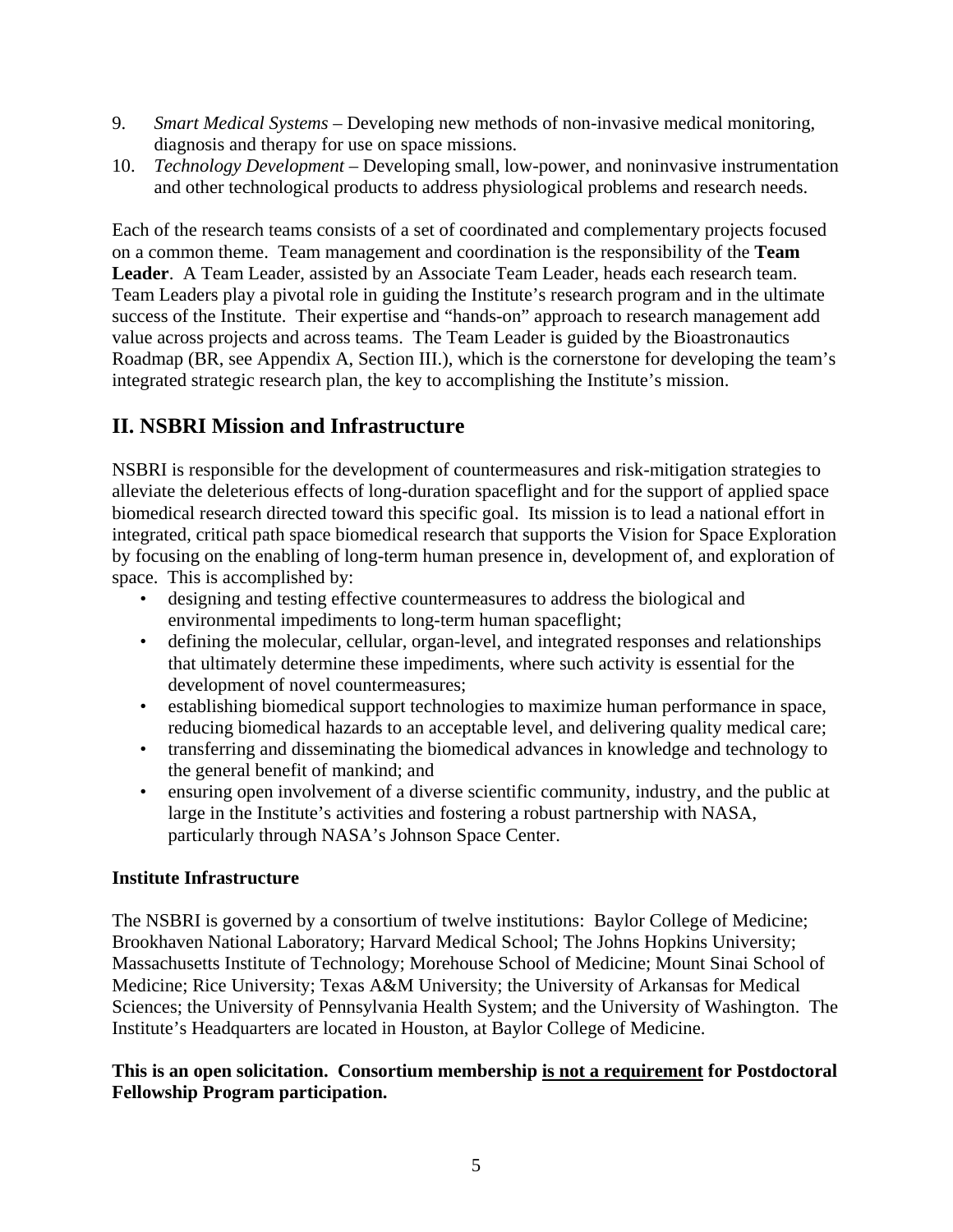- 9. *Smart Medical Systems*  Developing new methods of non-invasive medical monitoring, diagnosis and therapy for use on space missions.
- 10. *Technology Development* Developing small, low-power, and noninvasive instrumentation and other technological products to address physiological problems and research needs.

Each of the research teams consists of a set of coordinated and complementary projects focused on a common theme. Team management and coordination is the responsibility of the **Team Leader**. A Team Leader, assisted by an Associate Team Leader, heads each research team. Team Leaders play a pivotal role in guiding the Institute's research program and in the ultimate success of the Institute. Their expertise and "hands-on" approach to research management add value across projects and across teams. The Team Leader is guided by the Bioastronautics Roadmap (BR, see Appendix A, Section III.), which is the cornerstone for developing the team's integrated strategic research plan, the key to accomplishing the Institute's mission.

# **II. NSBRI Mission and Infrastructure**

NSBRI is responsible for the development of countermeasures and risk-mitigation strategies to alleviate the deleterious effects of long-duration spaceflight and for the support of applied space biomedical research directed toward this specific goal. Its mission is to lead a national effort in integrated, critical path space biomedical research that supports the Vision for Space Exploration by focusing on the enabling of long-term human presence in, development of, and exploration of space. This is accomplished by:

- designing and testing effective countermeasures to address the biological and environmental impediments to long-term human spaceflight;
- defining the molecular, cellular, organ-level, and integrated responses and relationships that ultimately determine these impediments, where such activity is essential for the development of novel countermeasures;
- establishing biomedical support technologies to maximize human performance in space, reducing biomedical hazards to an acceptable level, and delivering quality medical care;
- transferring and disseminating the biomedical advances in knowledge and technology to the general benefit of mankind; and
- ensuring open involvement of a diverse scientific community, industry, and the public at large in the Institute's activities and fostering a robust partnership with NASA, particularly through NASA's Johnson Space Center.

# **Institute Infrastructure**

The NSBRI is governed by a consortium of twelve institutions: Baylor College of Medicine; Brookhaven National Laboratory; Harvard Medical School; The Johns Hopkins University; Massachusetts Institute of Technology; Morehouse School of Medicine; Mount Sinai School of Medicine; Rice University; Texas A&M University; the University of Arkansas for Medical Sciences; the University of Pennsylvania Health System; and the University of Washington. The Institute's Headquarters are located in Houston, at Baylor College of Medicine.

# **This is an open solicitation. Consortium membership is not a requirement for Postdoctoral Fellowship Program participation.**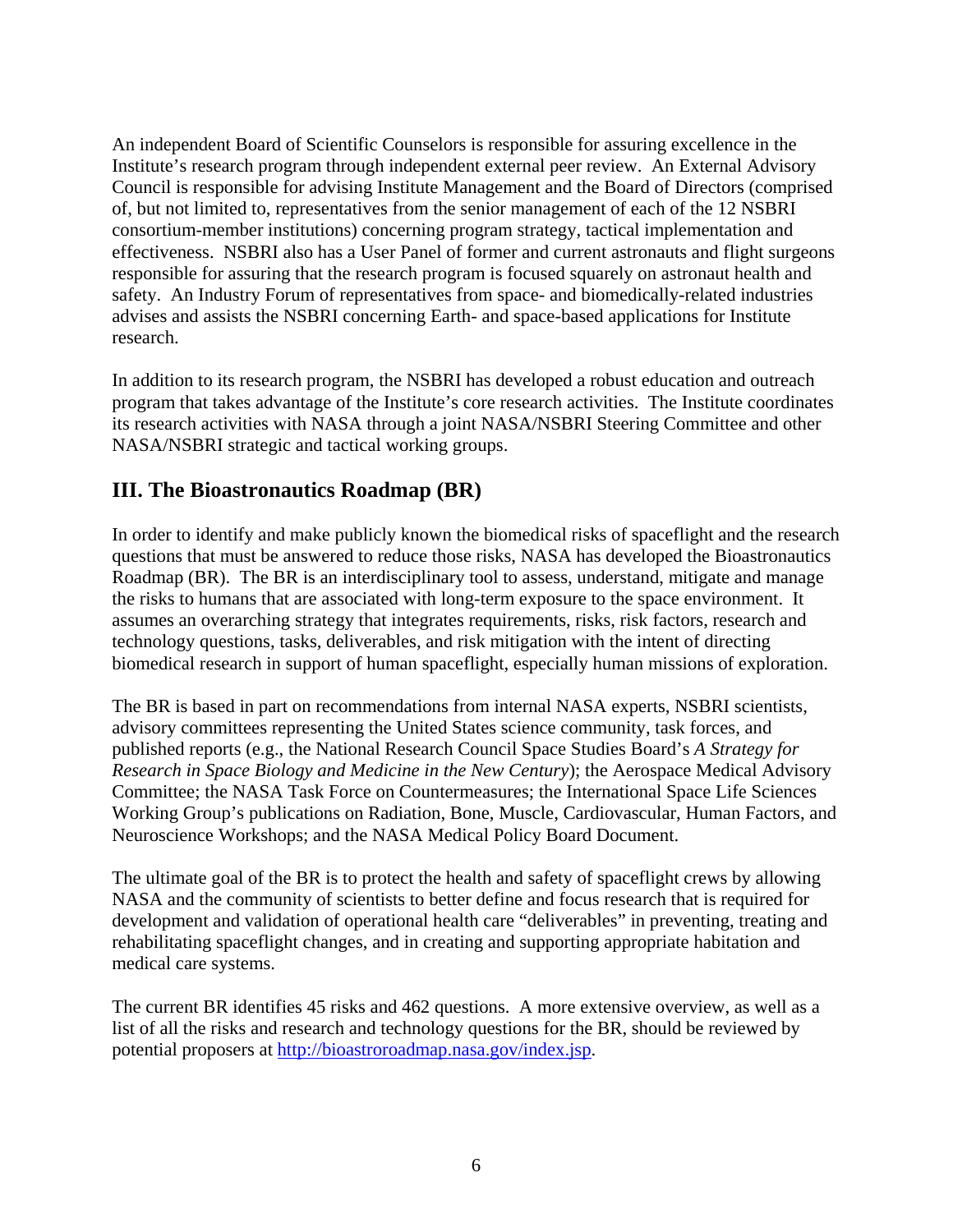An independent Board of Scientific Counselors is responsible for assuring excellence in the Institute's research program through independent external peer review. An External Advisory Council is responsible for advising Institute Management and the Board of Directors (comprised of, but not limited to, representatives from the senior management of each of the 12 NSBRI consortium-member institutions) concerning program strategy, tactical implementation and effectiveness. NSBRI also has a User Panel of former and current astronauts and flight surgeons responsible for assuring that the research program is focused squarely on astronaut health and safety. An Industry Forum of representatives from space- and biomedically-related industries advises and assists the NSBRI concerning Earth- and space-based applications for Institute research.

In addition to its research program, the NSBRI has developed a robust education and outreach program that takes advantage of the Institute's core research activities. The Institute coordinates its research activities with NASA through a joint NASA/NSBRI Steering Committee and other NASA/NSBRI strategic and tactical working groups.

# **III. The Bioastronautics Roadmap (BR)**

In order to identify and make publicly known the biomedical risks of spaceflight and the research questions that must be answered to reduce those risks, NASA has developed the Bioastronautics Roadmap (BR). The BR is an interdisciplinary tool to assess, understand, mitigate and manage the risks to humans that are associated with long-term exposure to the space environment. It assumes an overarching strategy that integrates requirements, risks, risk factors, research and technology questions, tasks, deliverables, and risk mitigation with the intent of directing biomedical research in support of human spaceflight, especially human missions of exploration.

The BR is based in part on recommendations from internal NASA experts, NSBRI scientists, advisory committees representing the United States science community, task forces, and published reports (e.g., the National Research Council Space Studies Board's *A Strategy for Research in Space Biology and Medicine in the New Century*); the Aerospace Medical Advisory Committee; the NASA Task Force on Countermeasures; the International Space Life Sciences Working Group's publications on Radiation, Bone, Muscle, Cardiovascular, Human Factors, and Neuroscience Workshops; and the NASA Medical Policy Board Document.

The ultimate goal of the BR is to protect the health and safety of spaceflight crews by allowing NASA and the community of scientists to better define and focus research that is required for development and validation of operational health care "deliverables" in preventing, treating and rehabilitating spaceflight changes, and in creating and supporting appropriate habitation and medical care systems.

The current BR identifies 45 risks and 462 questions. A more extensive overview, as well as a list of all the risks and research and technology questions for the BR, should be reviewed by potential proposers at [http://bioastroroadmap.nasa.gov/index.jsp.](http://bioastroroadmap.nasa.gov/index.jsp)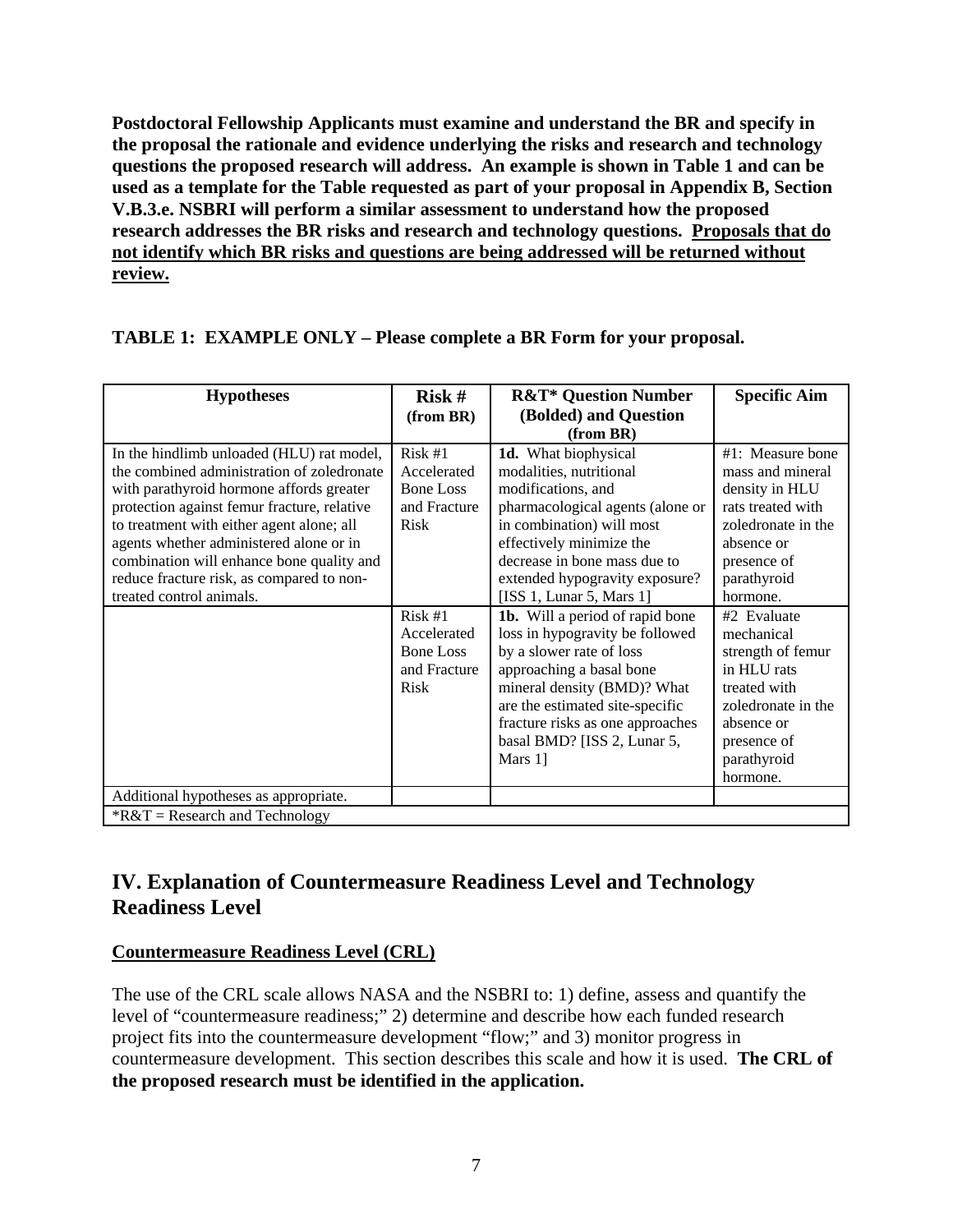**Postdoctoral Fellowship Applicants must examine and understand the BR and specify in the proposal the rationale and evidence underlying the risks and research and technology questions the proposed research will address. An example is shown in Table 1 and can be used as a template for the Table requested as part of your proposal in Appendix B, Section V.B.3.e. NSBRI will perform a similar assessment to understand how the proposed research addresses the BR risks and research and technology questions. Proposals that do not identify which BR risks and questions are being addressed will be returned without review.**

# **TABLE 1: EXAMPLE ONLY – Please complete a BR Form for your proposal.**

| <b>Hypotheses</b>                           | Risk #           | <b>R&amp;T* Question Number</b>  | <b>Specific Aim</b> |
|---------------------------------------------|------------------|----------------------------------|---------------------|
|                                             | (from BR)        | (Bolded) and Question            |                     |
|                                             |                  | (from BR)                        |                     |
| In the hindlimb unloaded (HLU) rat model,   | Risk #1          | 1d. What biophysical             | $#1$ : Measure bone |
| the combined administration of zoledronate  | Accelerated      | modalities, nutritional          | mass and mineral    |
| with parathyroid hormone affords greater    | <b>Bone Loss</b> | modifications, and               | density in HLU      |
| protection against femur fracture, relative | and Fracture     | pharmacological agents (alone or | rats treated with   |
| to treatment with either agent alone; all   | Risk             | in combination) will most        | zoledronate in the  |
| agents whether administered alone or in     |                  | effectively minimize the         | absence or          |
| combination will enhance bone quality and   |                  | decrease in bone mass due to     | presence of         |
| reduce fracture risk, as compared to non-   |                  | extended hypogravity exposure?   | parathyroid         |
| treated control animals.                    |                  | [ISS 1, Lunar 5, Mars 1]         | hormone.            |
|                                             | Risk #1          | 1b. Will a period of rapid bone  | #2 Evaluate         |
|                                             | Accelerated      | loss in hypogravity be followed  | mechanical          |
|                                             | <b>Bone Loss</b> | by a slower rate of loss         | strength of femur   |
|                                             | and Fracture     | approaching a basal bone         | in HLU rats         |
|                                             | Risk             | mineral density (BMD)? What      | treated with        |
|                                             |                  | are the estimated site-specific  | zoledronate in the  |
|                                             |                  | fracture risks as one approaches | absence or          |
|                                             |                  | basal BMD? [ISS 2, Lunar 5,      | presence of         |
|                                             |                  | Mars 1]                          | parathyroid         |
|                                             |                  |                                  | hormone.            |
| Additional hypotheses as appropriate.       |                  |                                  |                     |
| $R&T =$ Research and Technology             |                  |                                  |                     |

# **IV. Explanation of Countermeasure Readiness Level and Technology Readiness Level**

# **Countermeasure Readiness Level (CRL)**

The use of the CRL scale allows NASA and the NSBRI to: 1) define, assess and quantify the level of "countermeasure readiness;" 2) determine and describe how each funded research project fits into the countermeasure development "flow;" and 3) monitor progress in countermeasure development. This section describes this scale and how it is used. **The CRL of the proposed research must be identified in the application.**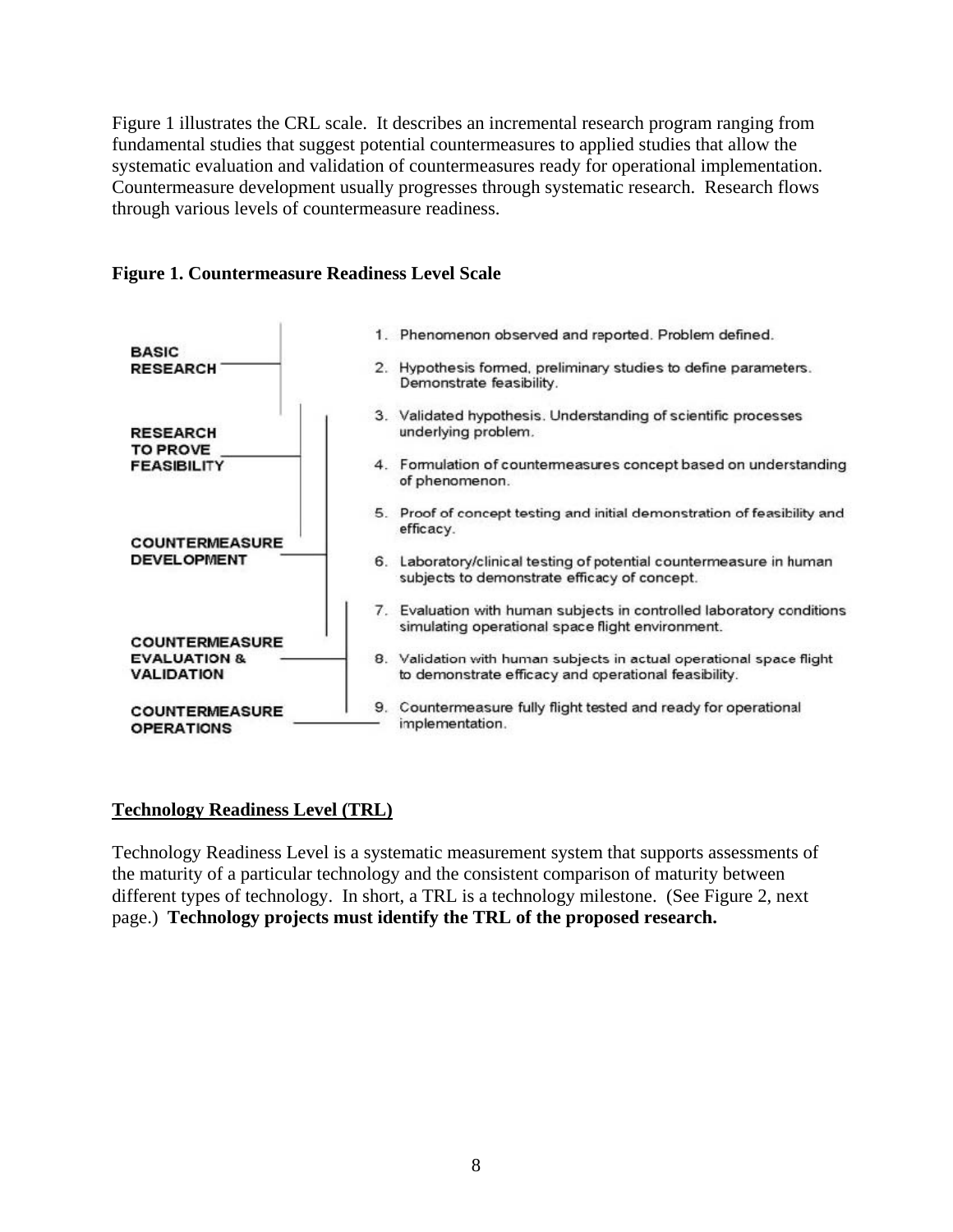Figure 1 illustrates the CRL scale. It describes an incremental research program ranging from fundamental studies that suggest potential countermeasures to applied studies that allow the systematic evaluation and validation of countermeasures ready for operational implementation. Countermeasure development usually progresses through systematic research. Research flows through various levels of countermeasure readiness.



#### **Figure 1. Countermeasure Readiness Level Scale**

### **Technology Readiness Level (TRL)**

Technology Readiness Level is a systematic measurement system that supports assessments of the maturity of a particular technology and the consistent comparison of maturity between different types of technology. In short, a TRL is a technology milestone. (See Figure 2, next page.) **Technology projects must identify the TRL of the proposed research.**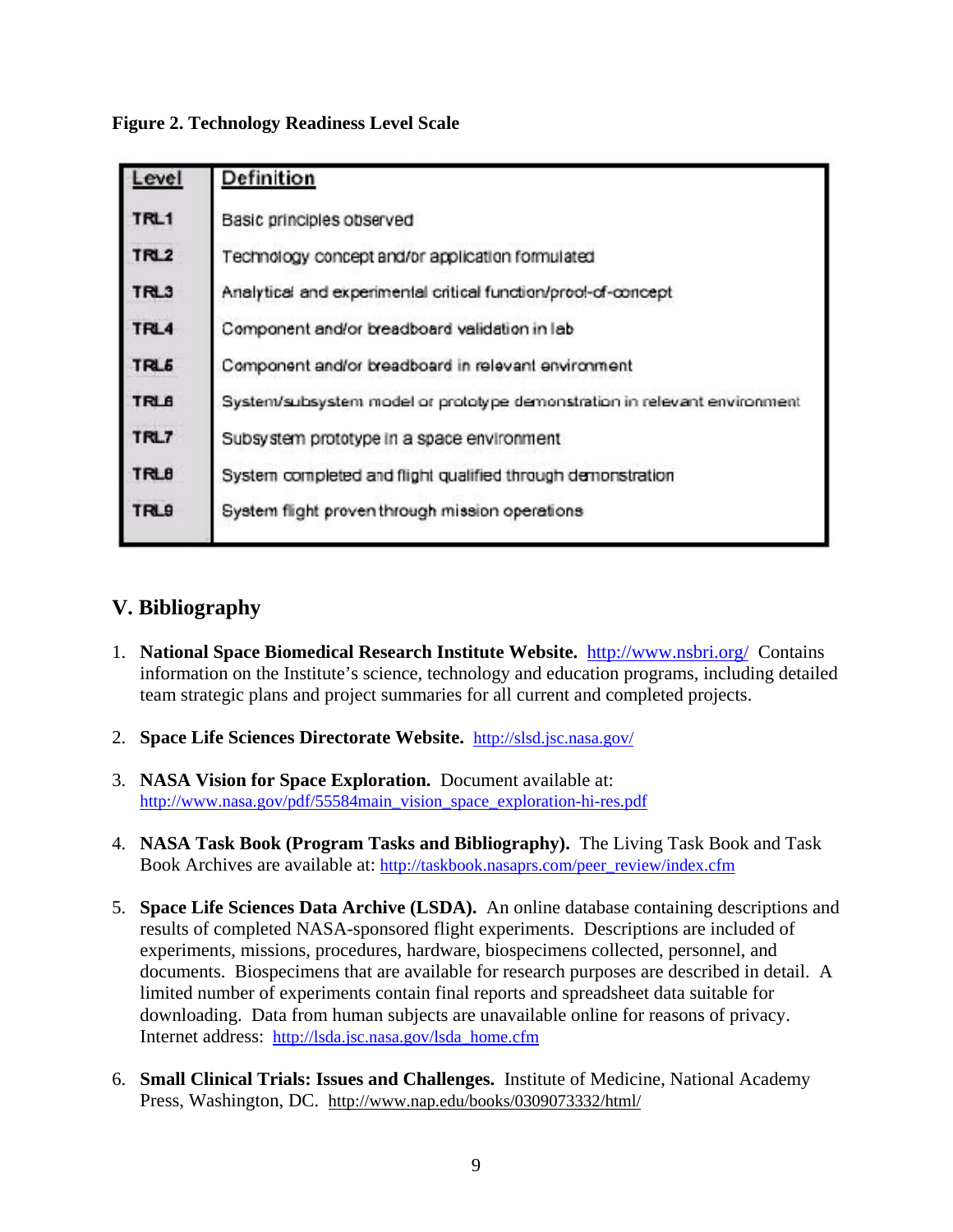**Figure 2. Technology Readiness Level Scale** 

| Level            | Definition                                                                |
|------------------|---------------------------------------------------------------------------|
| TRL1             | Basic principles observed                                                 |
| TRL2             | Technology concept and/or application formulated                          |
| TRL3             | Analytical and experimental critical function/prool-of-concept            |
| TRL4             | Component and/or breadboard validation in lab                             |
| TRL <sub>5</sub> | Component and/or breadboard in relevant environment                       |
| TRLB             | System/subsystem model or prototype demonstration in relevant environment |
| TRL7             | Subsystem prototype in a space environment                                |
| <b>TRLB</b>      | System completed and flight qualified through demonstration               |
| <b>TRL9</b>      | System flight proven through mission operations                           |
|                  |                                                                           |

# **V. Bibliography**

- 1. **National Space Biomedical Research Institute Website.** <http://www.nsbri.org/> Contains information on the Institute's science, technology and education programs, including detailed team strategic plans and project summaries for all current and completed projects.
- 2. **Space Life Sciences Directorate Website.** <http://slsd.jsc.nasa.gov/>
- 3. **NASA Vision for Space Exploration.** Document available at: [http://www.nasa.gov/pdf/55584main\\_vision\\_space\\_exploration-hi-res.pdf](http://www.nasa.gov/pdf/55584main_vision_space_exploration-hi-res.pdf)
- 4. **NASA Task Book (Program Tasks and Bibliography).** The Living Task Book and Task Book Archives are available at: [http://taskbook.nasaprs.com/peer\\_review/index.cfm](http://taskbook.nasaprs.com/peer_review/index.cfm)
- 5. **Space Life Sciences Data Archive (LSDA).** An online database containing descriptions and results of completed NASA-sponsored flight experiments. Descriptions are included of experiments, missions, procedures, hardware, biospecimens collected, personnel, and documents. Biospecimens that are available for research purposes are described in detail. A limited number of experiments contain final reports and spreadsheet data suitable for downloading. Data from human subjects are unavailable online for reasons of privacy. Internet address: [http://lsda.jsc.nasa.gov/lsda\\_home.cfm](http://lsda.jsc.nasa.gov/lsda_home.cfm)
- 6. **Small Clinical Trials: Issues and Challenges.** Institute of Medicine, National Academy Press, Washington, DC. <http://www.nap.edu/books/0309073332/html/>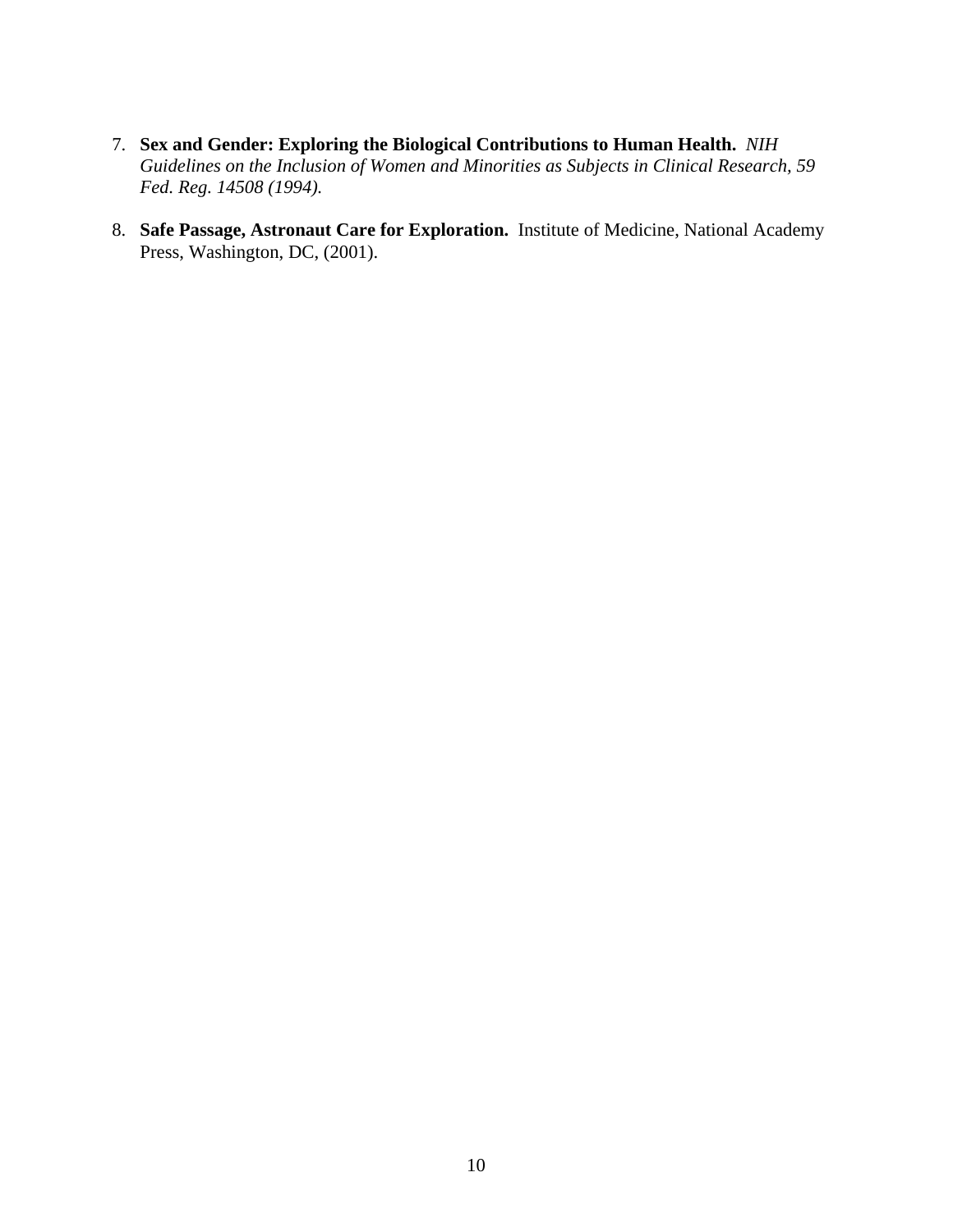- 7. **Sex and Gender: Exploring the Biological Contributions to Human Health.** *NIH Guidelines on the Inclusion of Women and Minorities as Subjects in Clinical Research, 59 Fed. Reg. 14508 (1994).*
- 8. **Safe Passage, Astronaut Care for Exploration.** Institute of Medicine, National Academy Press, Washington, DC, (2001).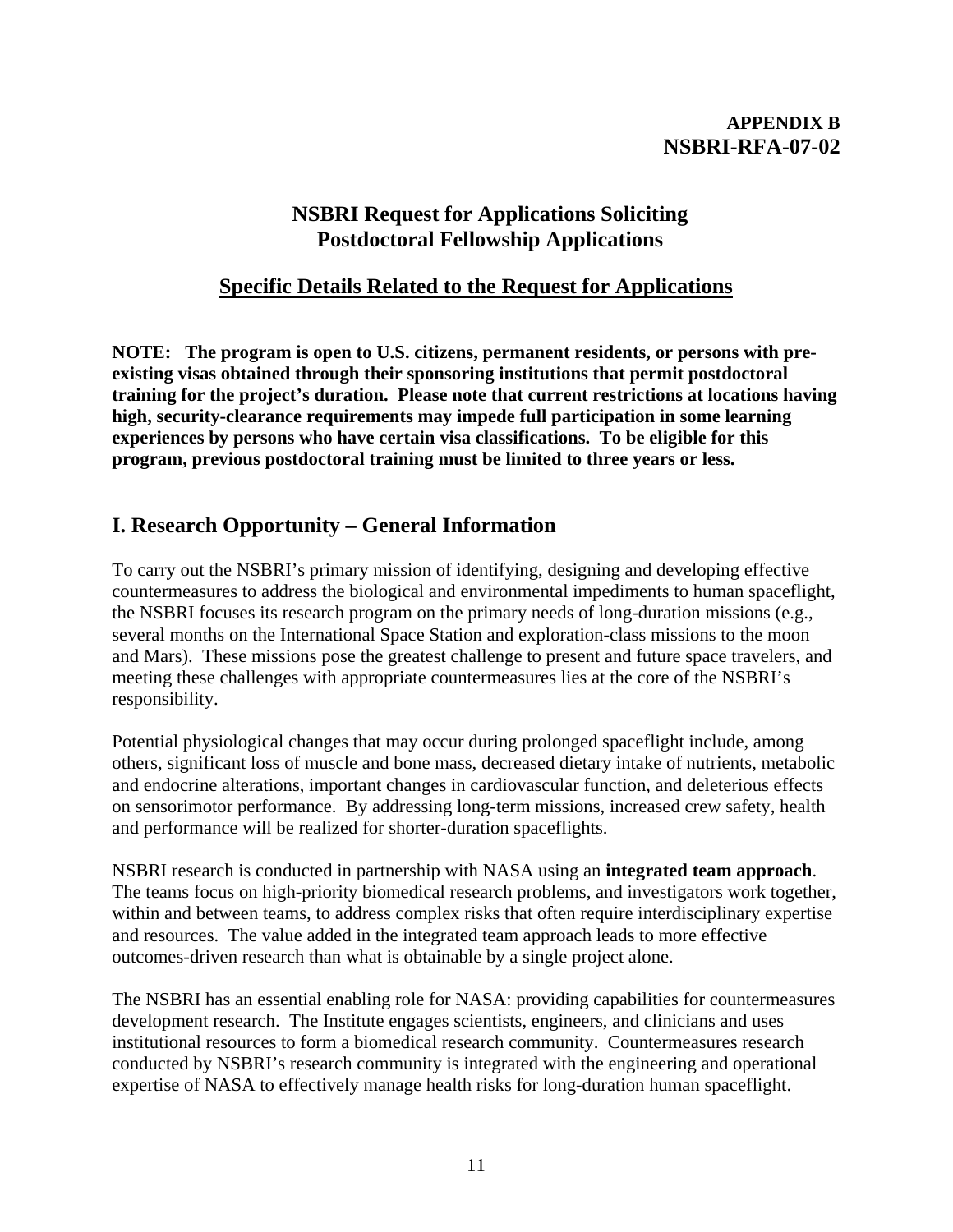# **APPENDIX B NSBRI-RFA-07-02**

# **NSBRI Request for Applications Soliciting Postdoctoral Fellowship Applications**

# **Specific Details Related to the Request for Applications**

**NOTE: The program is open to U.S. citizens, permanent residents, or persons with preexisting visas obtained through their sponsoring institutions that permit postdoctoral training for the project's duration. Please note that current restrictions at locations having high, security-clearance requirements may impede full participation in some learning experiences by persons who have certain visa classifications. To be eligible for this program, previous postdoctoral training must be limited to three years or less.** 

# **I. Research Opportunity – General Information**

To carry out the NSBRI's primary mission of identifying, designing and developing effective countermeasures to address the biological and environmental impediments to human spaceflight, the NSBRI focuses its research program on the primary needs of long-duration missions (e.g., several months on the International Space Station and exploration-class missions to the moon and Mars). These missions pose the greatest challenge to present and future space travelers, and meeting these challenges with appropriate countermeasures lies at the core of the NSBRI's responsibility.

Potential physiological changes that may occur during prolonged spaceflight include, among others, significant loss of muscle and bone mass, decreased dietary intake of nutrients, metabolic and endocrine alterations, important changes in cardiovascular function, and deleterious effects on sensorimotor performance. By addressing long-term missions, increased crew safety, health and performance will be realized for shorter-duration spaceflights.

NSBRI research is conducted in partnership with NASA using an **integrated team approach**. The teams focus on high-priority biomedical research problems, and investigators work together, within and between teams, to address complex risks that often require interdisciplinary expertise and resources. The value added in the integrated team approach leads to more effective outcomes-driven research than what is obtainable by a single project alone.

The NSBRI has an essential enabling role for NASA: providing capabilities for countermeasures development research. The Institute engages scientists, engineers, and clinicians and uses institutional resources to form a biomedical research community. Countermeasures research conducted by NSBRI's research community is integrated with the engineering and operational expertise of NASA to effectively manage health risks for long-duration human spaceflight.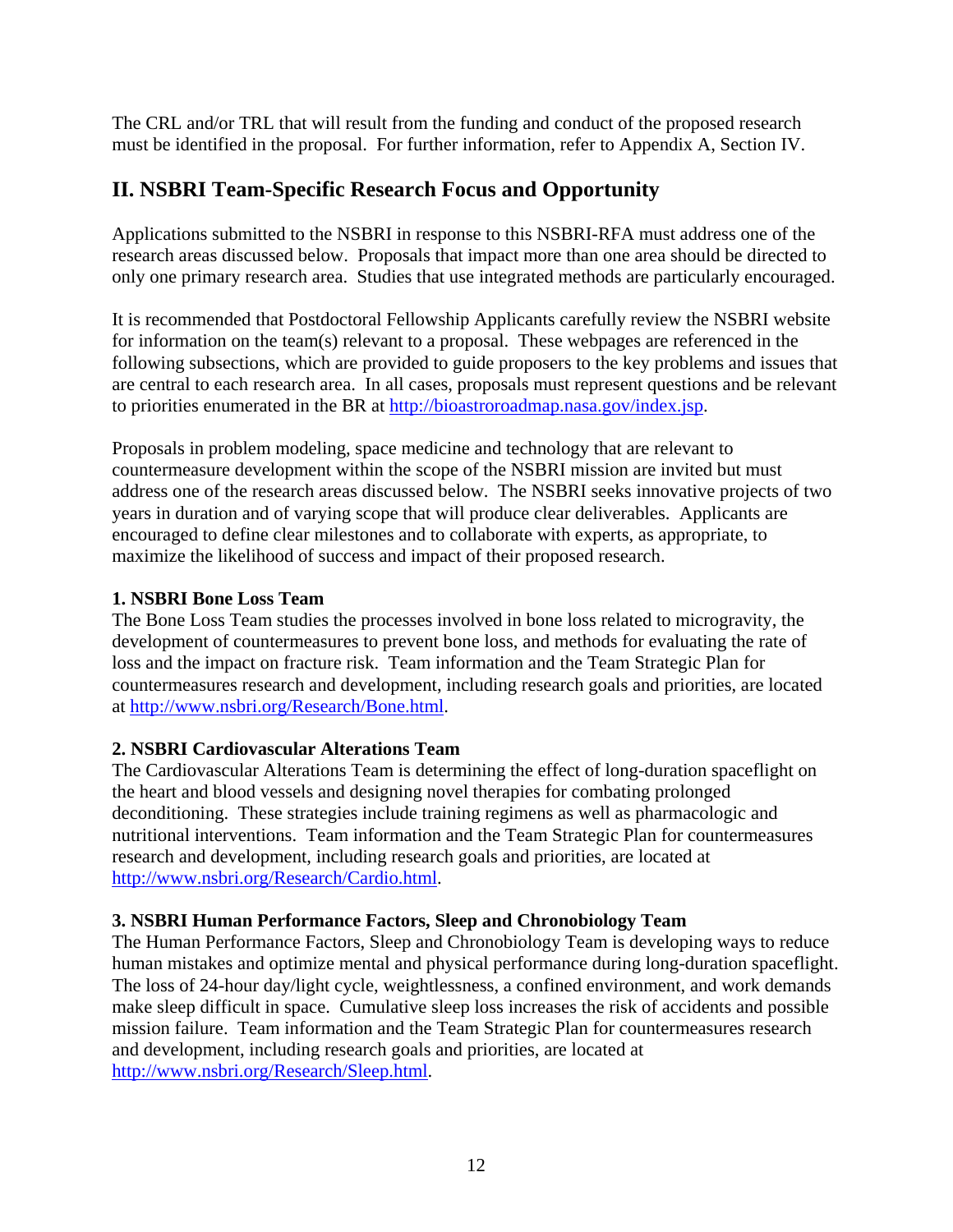The CRL and/or TRL that will result from the funding and conduct of the proposed research must be identified in the proposal. For further information, refer to Appendix A, Section IV.

# **II. NSBRI Team-Specific Research Focus and Opportunity**

Applications submitted to the NSBRI in response to this NSBRI-RFA must address one of the research areas discussed below. Proposals that impact more than one area should be directed to only one primary research area. Studies that use integrated methods are particularly encouraged.

It is recommended that Postdoctoral Fellowship Applicants carefully review the NSBRI website for information on the team(s) relevant to a proposal. These webpages are referenced in the following subsections, which are provided to guide proposers to the key problems and issues that are central to each research area. In all cases, proposals must represent questions and be relevant to priorities enumerated in the BR at [http://bioastroroadmap.nasa.gov/index.jsp.](http://bioastroroadmap.nasa.gov/index.jsp)

Proposals in problem modeling, space medicine and technology that are relevant to countermeasure development within the scope of the NSBRI mission are invited but must address one of the research areas discussed below. The NSBRI seeks innovative projects of two years in duration and of varying scope that will produce clear deliverables. Applicants are encouraged to define clear milestones and to collaborate with experts, as appropriate, to maximize the likelihood of success and impact of their proposed research.

# **1. NSBRI Bone Loss Team**

The Bone Loss Team studies the processes involved in bone loss related to microgravity, the development of countermeasures to prevent bone loss, and methods for evaluating the rate of loss and the impact on fracture risk. Team information and the Team Strategic Plan for countermeasures research and development, including research goals and priorities, are located at <http://www.nsbri.org/Research/Bone.html>.

# **2. NSBRI Cardiovascular Alterations Team**

The Cardiovascular Alterations Team is determining the effect of long-duration spaceflight on the heart and blood vessels and designing novel therapies for combating prolonged deconditioning. These strategies include training regimens as well as pharmacologic and nutritional interventions. Team information and the Team Strategic Plan for countermeasures research and development, including research goals and priorities, are located at [http://www.nsbri.org/Research/Cardio.html.](http://www.nsbri.org/Research/Cardio.html)

# **3. NSBRI Human Performance Factors, Sleep and Chronobiology Team**

The Human Performance Factors, Sleep and Chronobiology Team is developing ways to reduce human mistakes and optimize mental and physical performance during long-duration spaceflight. The loss of 24-hour day/light cycle, weightlessness, a confined environment, and work demands make sleep difficult in space. Cumulative sleep loss increases the risk of accidents and possible mission failure. Team information and the Team Strategic Plan for countermeasures research and development, including research goals and priorities, are located at [http://www.nsbri.org/Research/Sleep.html.](http://www.nsbri.org/Research/Sleep.html)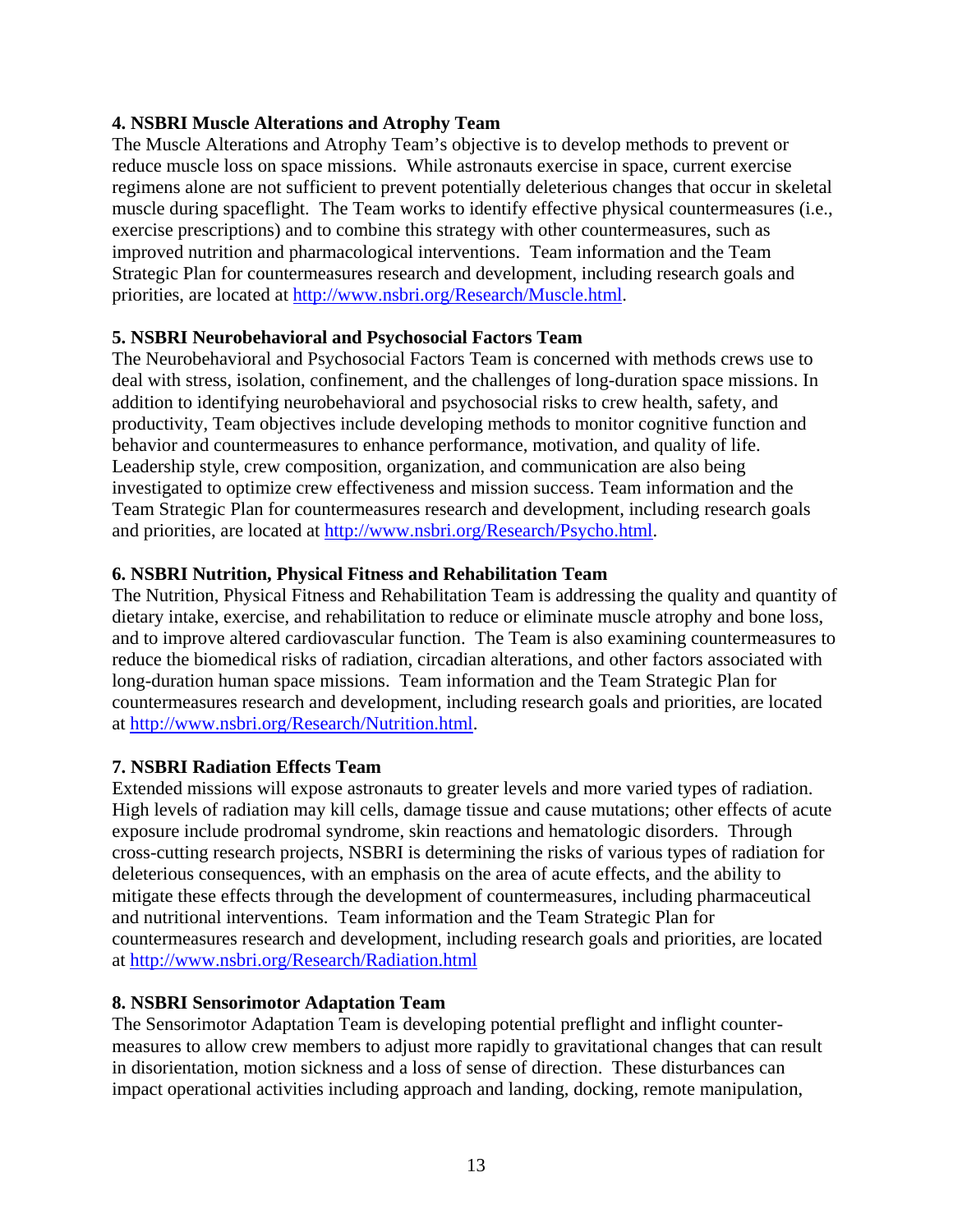# **4. NSBRI Muscle Alterations and Atrophy Team**

The Muscle Alterations and Atrophy Team's objective is to develop methods to prevent or reduce muscle loss on space missions. While astronauts exercise in space, current exercise regimens alone are not sufficient to prevent potentially deleterious changes that occur in skeletal muscle during spaceflight. The Team works to identify effective physical countermeasures (i.e., exercise prescriptions) and to combine this strategy with other countermeasures, such as improved nutrition and pharmacological interventions. Team information and the Team Strategic Plan for countermeasures research and development, including research goals and priorities, are located at [http://www.nsbri.org/Research/Muscle.html.](http://www.nsbri.org/Research/Muscle.html)

## **5. NSBRI Neurobehavioral and Psychosocial Factors Team**

The Neurobehavioral and Psychosocial Factors Team is concerned with methods crews use to deal with stress, isolation, confinement, and the challenges of long-duration space missions. In addition to identifying neurobehavioral and psychosocial risks to crew health, safety, and productivity, Team objectives include developing methods to monitor cognitive function and behavior and countermeasures to enhance performance, motivation, and quality of life. Leadership style, crew composition, organization, and communication are also being investigated to optimize crew effectiveness and mission success. Team information and the Team Strategic Plan for countermeasures research and development, including research goals and priorities, are located at [http://www.nsbri.org/Research/Psycho.html.](http://www.nsbri.org/Research/Psycho.html)

## **6. NSBRI Nutrition, Physical Fitness and Rehabilitation Team**

The Nutrition, Physical Fitness and Rehabilitation Team is addressing the quality and quantity of dietary intake, exercise, and rehabilitation to reduce or eliminate muscle atrophy and bone loss, and to improve altered cardiovascular function. The Team is also examining countermeasures to reduce the biomedical risks of radiation, circadian alterations, and other factors associated with long-duration human space missions. Team information and the Team Strategic Plan for countermeasures research and development, including research goals and priorities, are located at <http://www.nsbri.org/Research/Nutrition.html>.

### **7. NSBRI Radiation Effects Team**

Extended missions will expose astronauts to greater levels and more varied types of radiation. High levels of radiation may kill cells, damage tissue and cause mutations; other effects of acute exposure include prodromal syndrome, skin reactions and hematologic disorders. Through cross-cutting research projects, NSBRI is determining the risks of various types of radiation for deleterious consequences, with an emphasis on the area of acute effects, and the ability to mitigate these effects through the development of countermeasures, including pharmaceutical and nutritional interventions. Team information and the Team Strategic Plan for countermeasures research and development, including research goals and priorities, are located at <http://www.nsbri.org/Research/Radiation.html>

### **8. NSBRI Sensorimotor Adaptation Team**

The Sensorimotor Adaptation Team is developing potential preflight and inflight countermeasures to allow crew members to adjust more rapidly to gravitational changes that can result in disorientation, motion sickness and a loss of sense of direction. These disturbances can impact operational activities including approach and landing, docking, remote manipulation,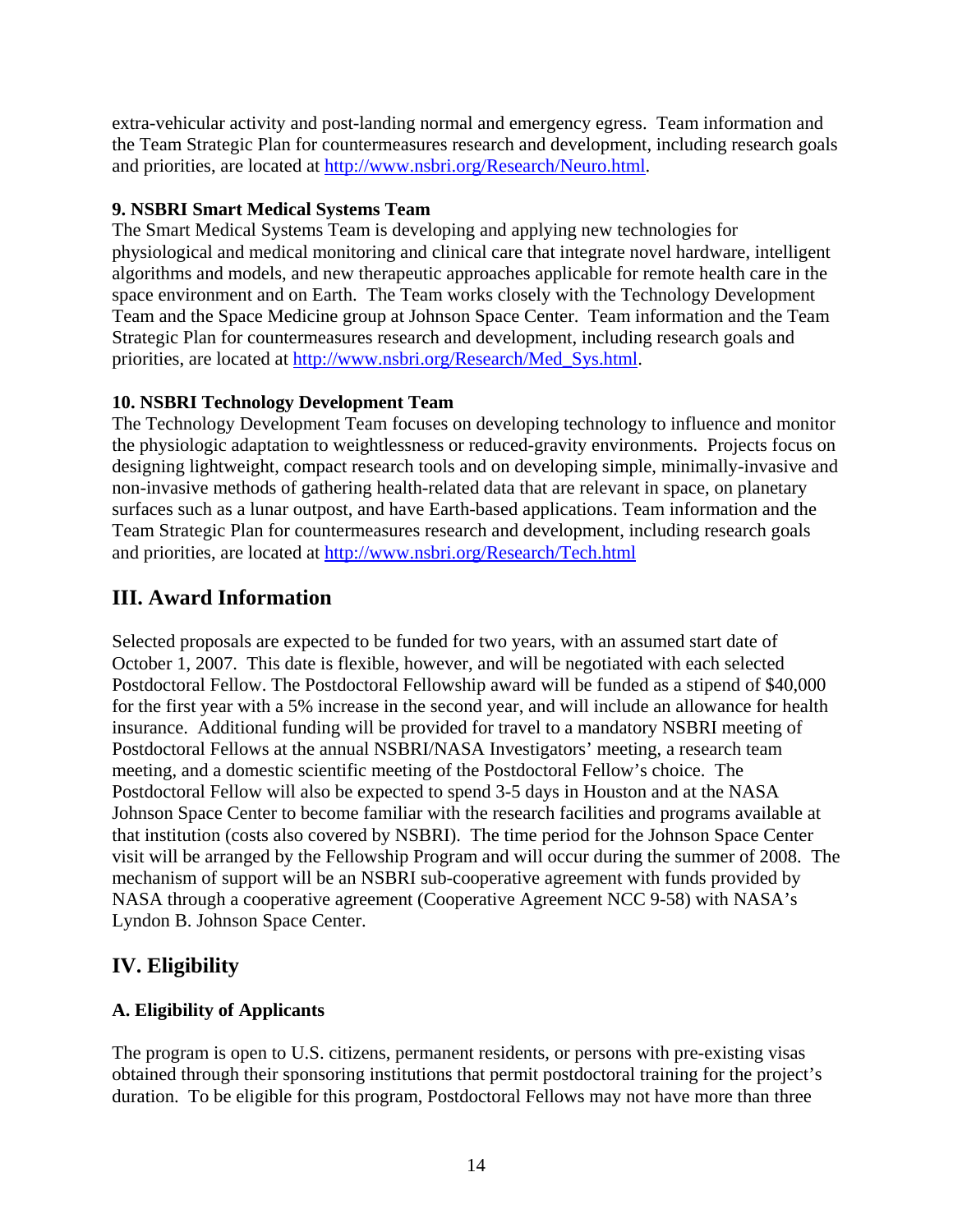extra-vehicular activity and post-landing normal and emergency egress. Team information and the Team Strategic Plan for countermeasures research and development, including research goals and priorities, are located at [http://www.nsbri.org/Research/Neuro.html.](http://www.nsbri.org/Research/Neuro.html)

# **9. NSBRI Smart Medical Systems Team**

The Smart Medical Systems Team is developing and applying new technologies for physiological and medical monitoring and clinical care that integrate novel hardware, intelligent algorithms and models, and new therapeutic approaches applicable for remote health care in the space environment and on Earth. The Team works closely with the Technology Development Team and the Space Medicine group at Johnson Space Center. Team information and the Team Strategic Plan for countermeasures research and development, including research goals and priorities, are located at [http://www.nsbri.org/Research/Med\\_Sys.html.](http://www.nsbri.org/Research/Med_Sys.html)

# **10. NSBRI Technology Development Team**

The Technology Development Team focuses on developing technology to influence and monitor the physiologic adaptation to weightlessness or reduced-gravity environments. Projects focus on designing lightweight, compact research tools and on developing simple, minimally-invasive and non-invasive methods of gathering health-related data that are relevant in space, on planetary surfaces such as a lunar outpost, and have Earth-based applications. Team information and the Team Strategic Plan for countermeasures research and development, including research goals and priorities, are located at <http://www.nsbri.org/Research/Tech.html>

# **III. Award Information**

Selected proposals are expected to be funded for two years, with an assumed start date of October 1, 2007. This date is flexible, however, and will be negotiated with each selected Postdoctoral Fellow. The Postdoctoral Fellowship award will be funded as a stipend of \$40,000 for the first year with a 5% increase in the second year, and will include an allowance for health insurance. Additional funding will be provided for travel to a mandatory NSBRI meeting of Postdoctoral Fellows at the annual NSBRI/NASA Investigators' meeting, a research team meeting, and a domestic scientific meeting of the Postdoctoral Fellow's choice. The Postdoctoral Fellow will also be expected to spend 3-5 days in Houston and at the NASA Johnson Space Center to become familiar with the research facilities and programs available at that institution (costs also covered by NSBRI). The time period for the Johnson Space Center visit will be arranged by the Fellowship Program and will occur during the summer of 2008. The mechanism of support will be an NSBRI sub-cooperative agreement with funds provided by NASA through a cooperative agreement (Cooperative Agreement NCC 9-58) with NASA's Lyndon B. Johnson Space Center.

# **IV. Eligibility**

# **A. Eligibility of Applicants**

The program is open to U.S. citizens, permanent residents, or persons with pre-existing visas obtained through their sponsoring institutions that permit postdoctoral training for the project's duration. To be eligible for this program, Postdoctoral Fellows may not have more than three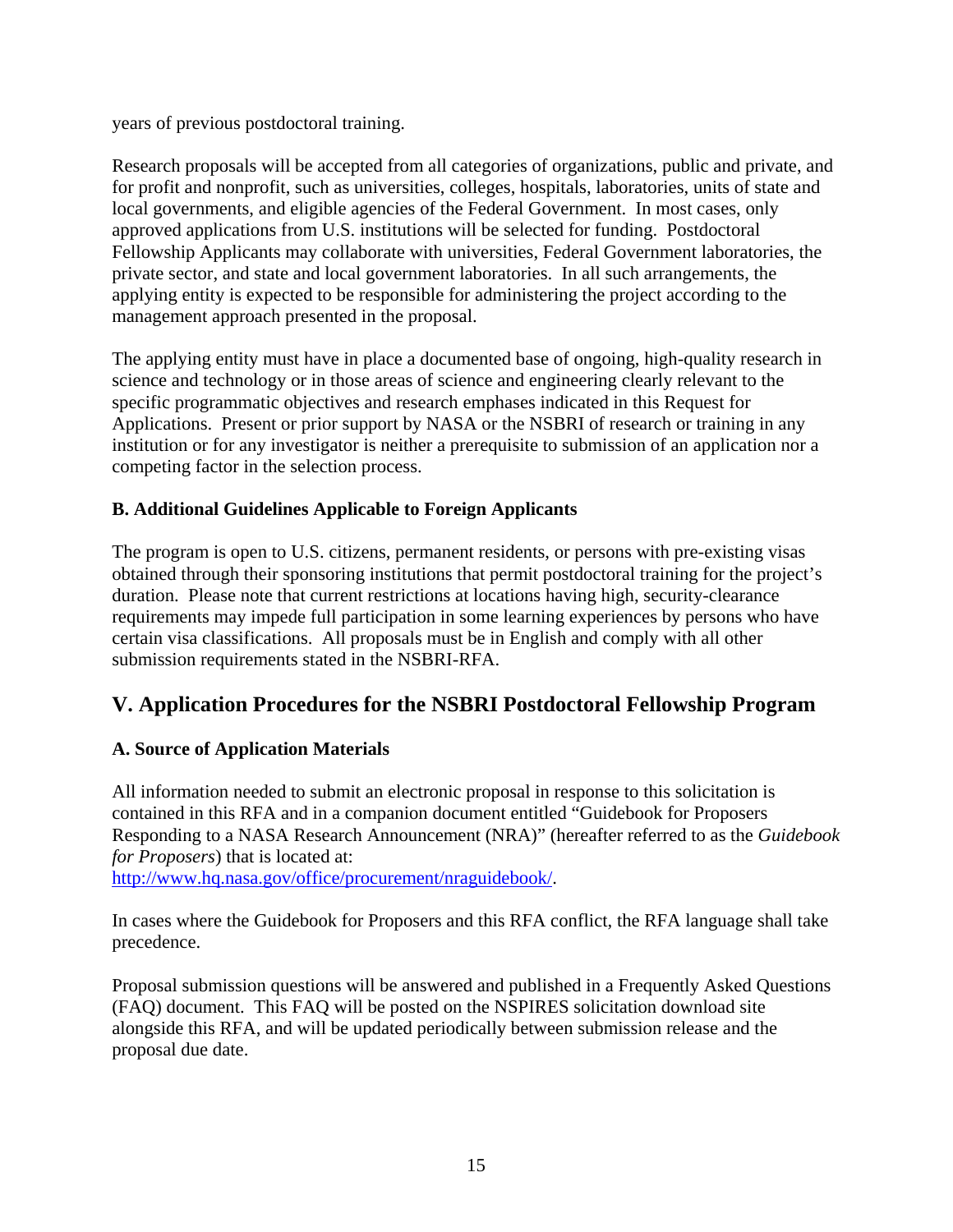years of previous postdoctoral training.

Research proposals will be accepted from all categories of organizations, public and private, and for profit and nonprofit, such as universities, colleges, hospitals, laboratories, units of state and local governments, and eligible agencies of the Federal Government. In most cases, only approved applications from U.S. institutions will be selected for funding. Postdoctoral Fellowship Applicants may collaborate with universities, Federal Government laboratories, the private sector, and state and local government laboratories. In all such arrangements, the applying entity is expected to be responsible for administering the project according to the management approach presented in the proposal.

The applying entity must have in place a documented base of ongoing, high-quality research in science and technology or in those areas of science and engineering clearly relevant to the specific programmatic objectives and research emphases indicated in this Request for Applications. Present or prior support by NASA or the NSBRI of research or training in any institution or for any investigator is neither a prerequisite to submission of an application nor a competing factor in the selection process.

# **B. Additional Guidelines Applicable to Foreign Applicants**

The program is open to U.S. citizens, permanent residents, or persons with pre-existing visas obtained through their sponsoring institutions that permit postdoctoral training for the project's duration. Please note that current restrictions at locations having high, security-clearance requirements may impede full participation in some learning experiences by persons who have certain visa classifications. All proposals must be in English and comply with all other submission requirements stated in the NSBRI-RFA.

# **V. Application Procedures for the NSBRI Postdoctoral Fellowship Program**

# **A. Source of Application Materials**

All information needed to submit an electronic proposal in response to this solicitation is contained in this RFA and in a companion document entitled "Guidebook for Proposers Responding to a NASA Research Announcement (NRA)" (hereafter referred to as the *Guidebook for Proposers*) that is located at:

[http://www.hq.nasa.gov/office/procurement/nraguidebook/.](http://www.hq.nasa.gov/office/procurement/nraguidebook/)

In cases where the Guidebook for Proposers and this RFA conflict, the RFA language shall take precedence.

Proposal submission questions will be answered and published in a Frequently Asked Questions (FAQ) document. This FAQ will be posted on the NSPIRES solicitation download site alongside this RFA, and will be updated periodically between submission release and the proposal due date.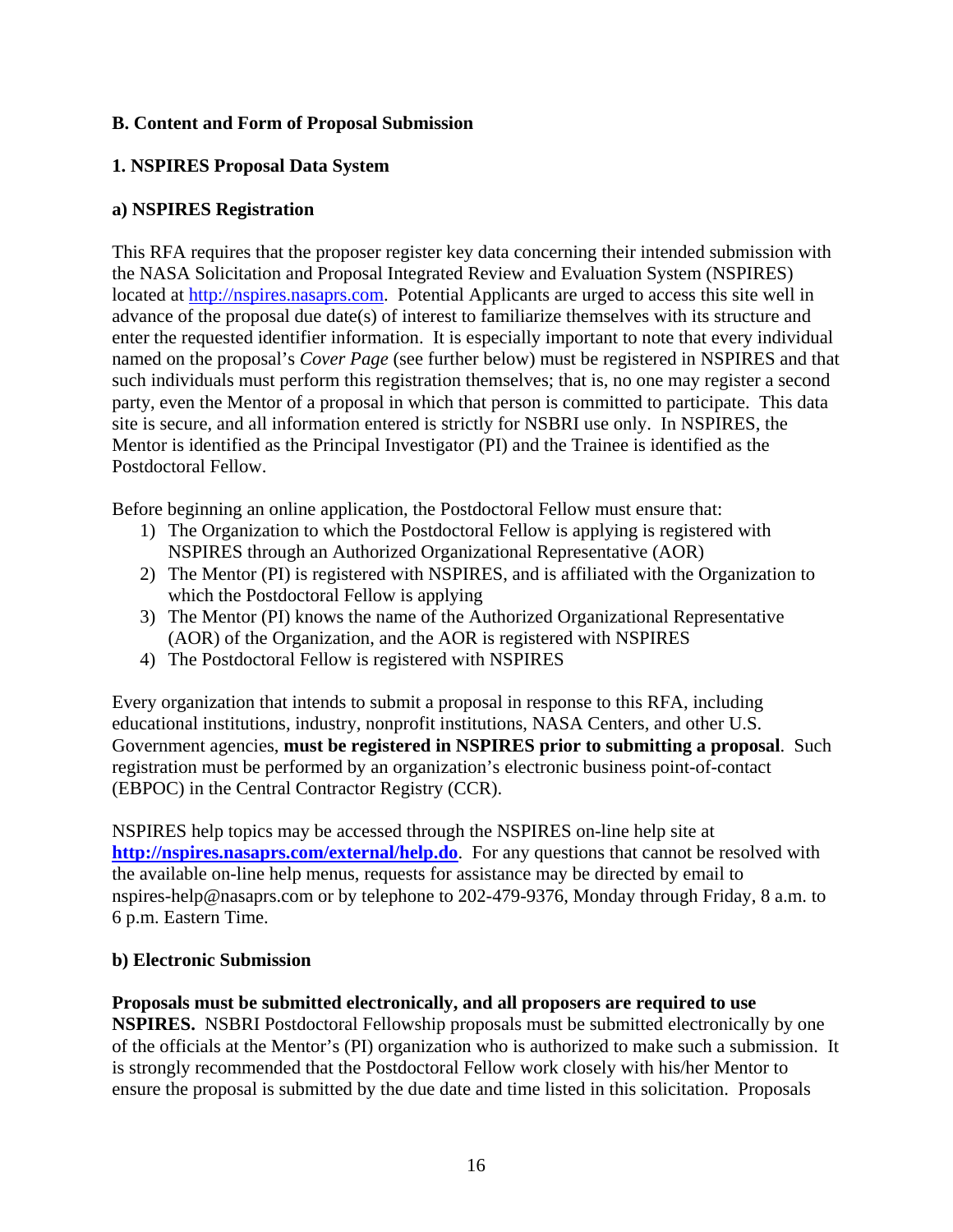# **B. Content and Form of Proposal Submission**

# **1. NSPIRES Proposal Data System**

# **a) NSPIRES Registration**

This RFA requires that the proposer register key data concerning their intended submission with the NASA Solicitation and Proposal Integrated Review and Evaluation System (NSPIRES) located at [http://nspires.nasaprs.com.](http://nspires.nasaprs.com/) Potential Applicants are urged to access this site well in advance of the proposal due date(s) of interest to familiarize themselves with its structure and enter the requested identifier information. It is especially important to note that every individual named on the proposal's *Cover Page* (see further below) must be registered in NSPIRES and that such individuals must perform this registration themselves; that is, no one may register a second party, even the Mentor of a proposal in which that person is committed to participate. This data site is secure, and all information entered is strictly for NSBRI use only. In NSPIRES, the Mentor is identified as the Principal Investigator (PI) and the Trainee is identified as the Postdoctoral Fellow.

Before beginning an online application, the Postdoctoral Fellow must ensure that:

- 1) The Organization to which the Postdoctoral Fellow is applying is registered with NSPIRES through an Authorized Organizational Representative (AOR)
- 2) The Mentor (PI) is registered with NSPIRES, and is affiliated with the Organization to which the Postdoctoral Fellow is applying
- 3) The Mentor (PI) knows the name of the Authorized Organizational Representative (AOR) of the Organization, and the AOR is registered with NSPIRES
- 4) The Postdoctoral Fellow is registered with NSPIRES

Every organization that intends to submit a proposal in response to this RFA, including educational institutions, industry, nonprofit institutions, NASA Centers, and other U.S. Government agencies, **must be registered in NSPIRES prior to submitting a proposal**. Such registration must be performed by an organization's electronic business point-of-contact (EBPOC) in the Central Contractor Registry (CCR).

NSPIRES help topics may be accessed through the NSPIRES on-line help site at **<http://nspires.nasaprs.com/external/help.do>**. For any questions that cannot be resolved with the available on-line help menus, requests for assistance may be directed by email to [nspires-help@nasaprs.com](mailto:nspires-help@nasaprs.com) or by telephone to 202-479-9376, Monday through Friday, 8 a.m. to 6 p.m. Eastern Time.

# **b) Electronic Submission**

#### **Proposals must be submitted electronically, and all proposers are required to use NSPIRES.** NSBRI Postdoctoral Fellowship proposals must be submitted electronically by one

of the officials at the Mentor's (PI) organization who is authorized to make such a submission. It is strongly recommended that the Postdoctoral Fellow work closely with his/her Mentor to ensure the proposal is submitted by the due date and time listed in this solicitation. Proposals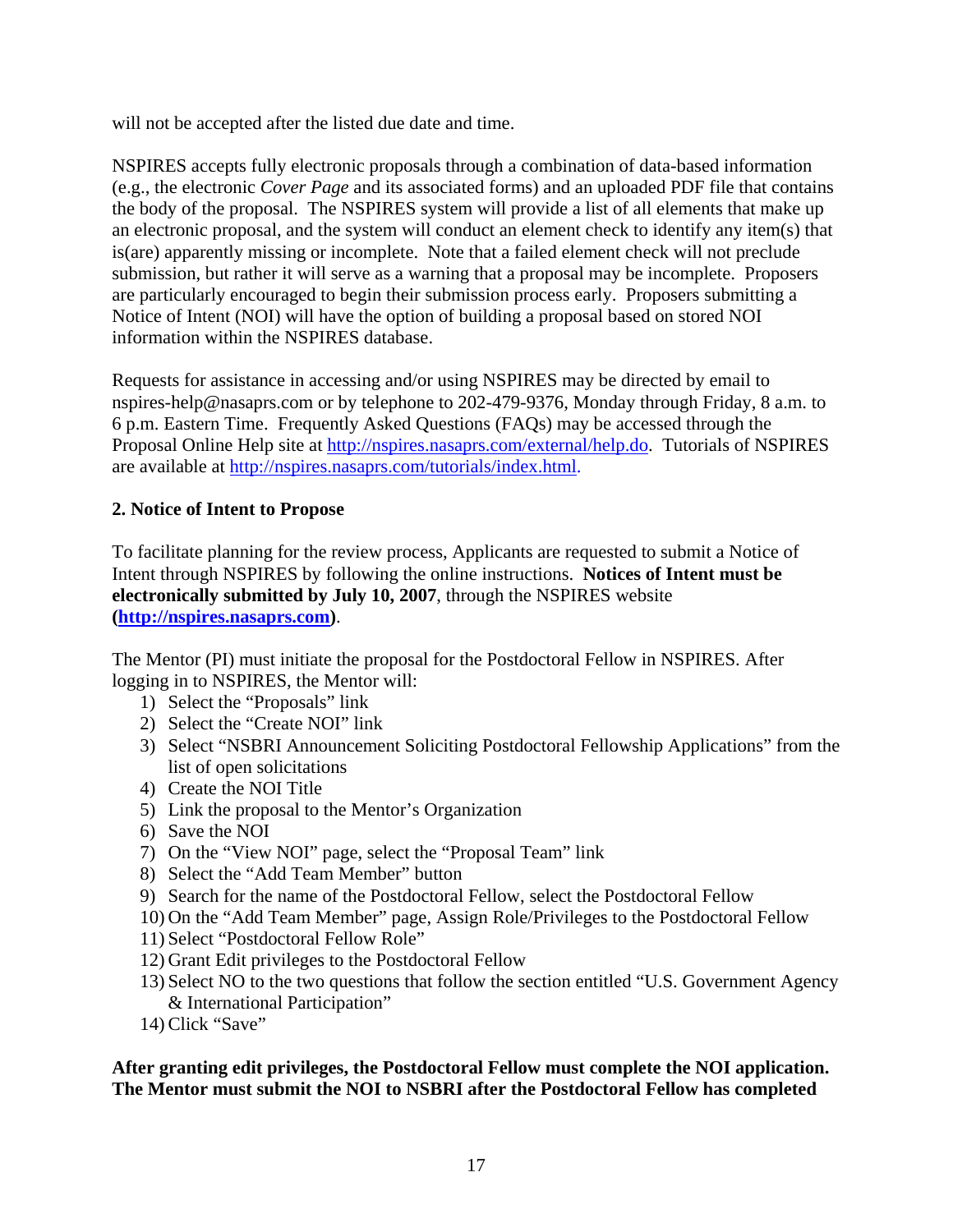will not be accepted after the listed due date and time.

NSPIRES accepts fully electronic proposals through a combination of data-based information (e.g., the electronic *Cover Page* and its associated forms) and an uploaded PDF file that contains the body of the proposal. The NSPIRES system will provide a list of all elements that make up an electronic proposal, and the system will conduct an element check to identify any item(s) that is(are) apparently missing or incomplete. Note that a failed element check will not preclude submission, but rather it will serve as a warning that a proposal may be incomplete. Proposers are particularly encouraged to begin their submission process early. Proposers submitting a Notice of Intent (NOI) will have the option of building a proposal based on stored NOI information within the NSPIRES database.

Requests for assistance in accessing and/or using NSPIRES may be directed by email to [nspires-help@nasaprs.com](mailto:nspires-help@nasaprs.com) or by telephone to 202-479-9376, Monday through Friday, 8 a.m. to 6 p.m. Eastern Time. Frequently Asked Questions (FAQs) may be accessed through the Proposal Online Help site at [http://nspires.nasaprs.com/external/help.do.](http://nspires.nasaprs.com/external/help.do) Tutorials of NSPIRES are available at [http://nspires.nasaprs.com/tutorials/index.html.](http://nspires.nasaprs.com/tutorials/index.html)

# **2. Notice of Intent to Propose**

To facilitate planning for the review process, Applicants are requested to submit a Notice of Intent through NSPIRES by following the online instructions. **Notices of Intent must be electronically submitted by July 10, 2007**, through the NSPIRES website **([http://nspires.nasaprs.com](http://nspires.nasaprs.com/))**.

The Mentor (PI) must initiate the proposal for the Postdoctoral Fellow in NSPIRES. After logging in to NSPIRES, the Mentor will:

- 1) Select the "Proposals" link
- 2) Select the "Create NOI" link
- 3) Select "NSBRI Announcement Soliciting Postdoctoral Fellowship Applications" from the list of open solicitations
- 4) Create the NOI Title
- 5) Link the proposal to the Mentor's Organization
- 6) Save the NOI
- 7) On the "View NOI" page, select the "Proposal Team" link
- 8) Select the "Add Team Member" button
- 9) Search for the name of the Postdoctoral Fellow, select the Postdoctoral Fellow
- 10) On the "Add Team Member" page, Assign Role/Privileges to the Postdoctoral Fellow
- 11) Select "Postdoctoral Fellow Role"
- 12) Grant Edit privileges to the Postdoctoral Fellow
- 13) Select NO to the two questions that follow the section entitled "U.S. Government Agency & International Participation"
- 14) Click "Save"

# **After granting edit privileges, the Postdoctoral Fellow must complete the NOI application. The Mentor must submit the NOI to NSBRI after the Postdoctoral Fellow has completed**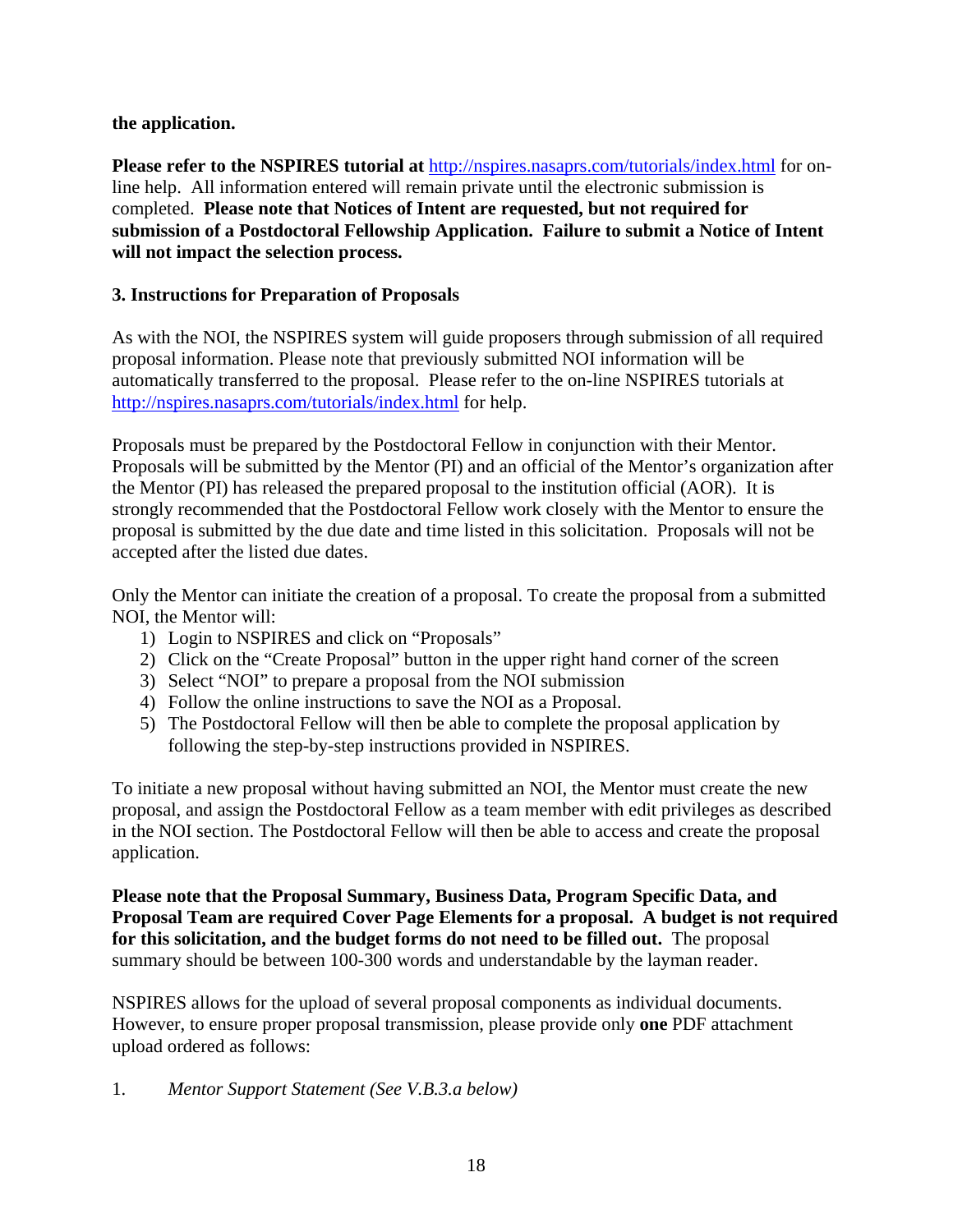# **the application.**

**Please refer to the NSPIRES tutorial at** <http://nspires.nasaprs.com/tutorials/index.html>for online help. All information entered will remain private until the electronic submission is completed. **Please note that Notices of Intent are requested, but not required for submission of a Postdoctoral Fellowship Application. Failure to submit a Notice of Intent will not impact the selection process.**

# **3. Instructions for Preparation of Proposals**

As with the NOI, the NSPIRES system will guide proposers through submission of all required proposal information. Please note that previously submitted NOI information will be automatically transferred to the proposal. Please refer to the on-line NSPIRES tutorials at <http://nspires.nasaprs.com/tutorials/index.html> for help.

Proposals must be prepared by the Postdoctoral Fellow in conjunction with their Mentor. Proposals will be submitted by the Mentor (PI) and an official of the Mentor's organization after the Mentor (PI) has released the prepared proposal to the institution official (AOR). It is strongly recommended that the Postdoctoral Fellow work closely with the Mentor to ensure the proposal is submitted by the due date and time listed in this solicitation. Proposals will not be accepted after the listed due dates.

Only the Mentor can initiate the creation of a proposal. To create the proposal from a submitted NOI, the Mentor will:

- 1) Login to NSPIRES and click on "Proposals"
- 2) Click on the "Create Proposal" button in the upper right hand corner of the screen
- 3) Select "NOI" to prepare a proposal from the NOI submission
- 4) Follow the online instructions to save the NOI as a Proposal.
- 5) The Postdoctoral Fellow will then be able to complete the proposal application by following the step-by-step instructions provided in NSPIRES.

To initiate a new proposal without having submitted an NOI, the Mentor must create the new proposal, and assign the Postdoctoral Fellow as a team member with edit privileges as described in the NOI section. The Postdoctoral Fellow will then be able to access and create the proposal application.

**Please note that the Proposal Summary, Business Data, Program Specific Data, and Proposal Team are required Cover Page Elements for a proposal. A budget is not required for this solicitation, and the budget forms do not need to be filled out.** The proposal summary should be between 100-300 words and understandable by the layman reader.

NSPIRES allows for the upload of several proposal components as individual documents. However, to ensure proper proposal transmission, please provide only **one** PDF attachment upload ordered as follows:

1. *Mentor Support Statement (See V.B.3.a below)*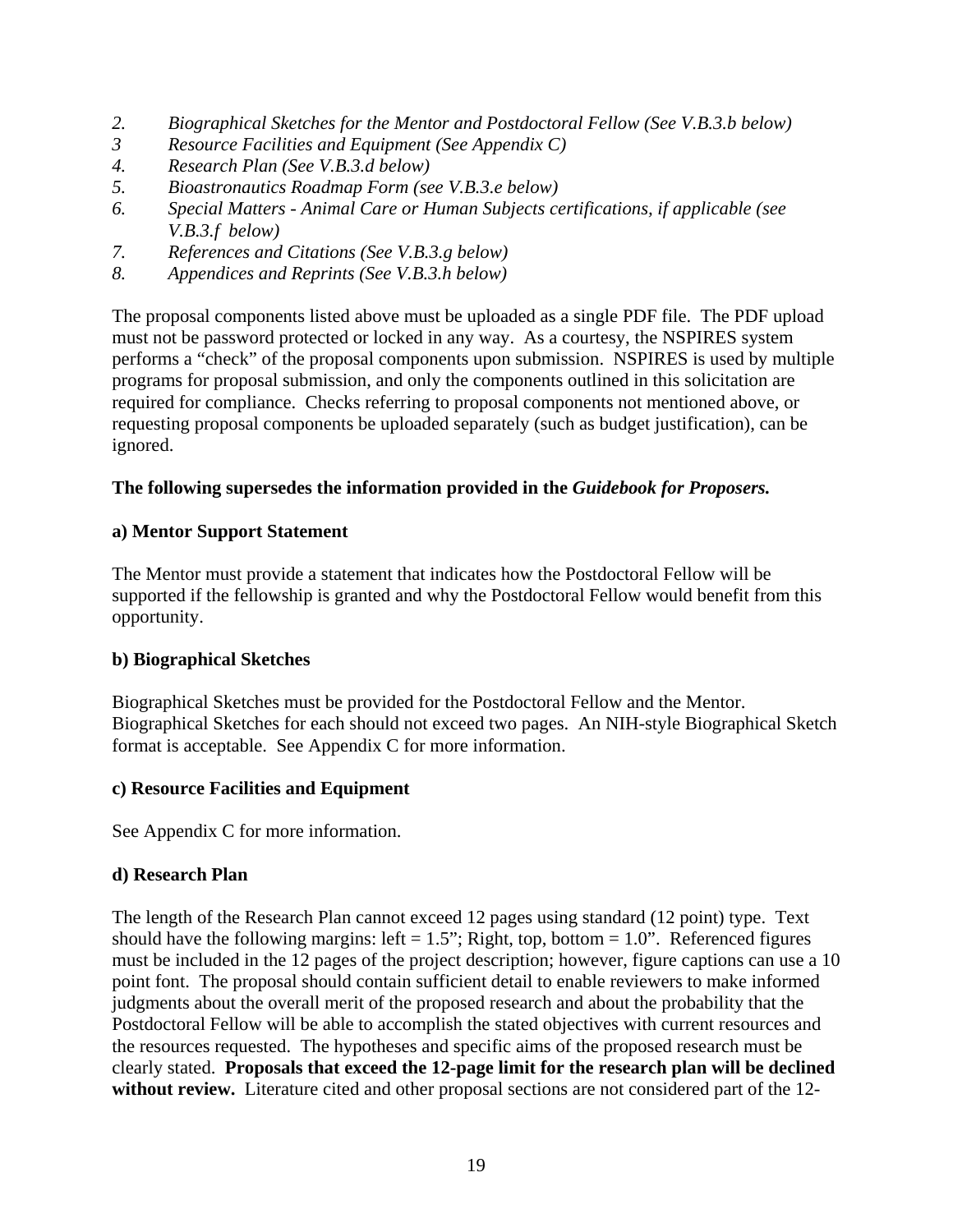- *2. Biographical Sketches for the Mentor and Postdoctoral Fellow (See V.B.3.b below)*
- *3 Resource Facilities and Equipment (See Appendix C)*
- *4. Research Plan (See V.B.3.d below)*
- *5. Bioastronautics Roadmap Form (see V.B.3.e below)*
- *6. Special Matters Animal Care or Human Subjects certifications, if applicable (see V.B.3.f below)*
- *7. References and Citations (See V.B.3.g below)*
- *8. Appendices and Reprints (See V.B.3.h below)*

The proposal components listed above must be uploaded as a single PDF file. The PDF upload must not be password protected or locked in any way. As a courtesy, the NSPIRES system performs a "check" of the proposal components upon submission. NSPIRES is used by multiple programs for proposal submission, and only the components outlined in this solicitation are required for compliance. Checks referring to proposal components not mentioned above, or requesting proposal components be uploaded separately (such as budget justification), can be ignored.

## **The following supersedes the information provided in the** *Guidebook for Proposers.*

### **a) Mentor Support Statement**

The Mentor must provide a statement that indicates how the Postdoctoral Fellow will be supported if the fellowship is granted and why the Postdoctoral Fellow would benefit from this opportunity.

### **b) Biographical Sketches**

Biographical Sketches must be provided for the Postdoctoral Fellow and the Mentor. Biographical Sketches for each should not exceed two pages. An NIH-style Biographical Sketch format is acceptable. See Appendix C for more information.

### **c) Resource Facilities and Equipment**

See Appendix C for more information.

### **d) Research Plan**

The length of the Research Plan cannot exceed 12 pages using standard (12 point) type. Text should have the following margins: left =  $1.5$ "; Right, top, bottom =  $1.0$ ". Referenced figures must be included in the 12 pages of the project description; however, figure captions can use a 10 point font. The proposal should contain sufficient detail to enable reviewers to make informed judgments about the overall merit of the proposed research and about the probability that the Postdoctoral Fellow will be able to accomplish the stated objectives with current resources and the resources requested. The hypotheses and specific aims of the proposed research must be clearly stated. **Proposals that exceed the 12-page limit for the research plan will be declined without review.** Literature cited and other proposal sections are not considered part of the 12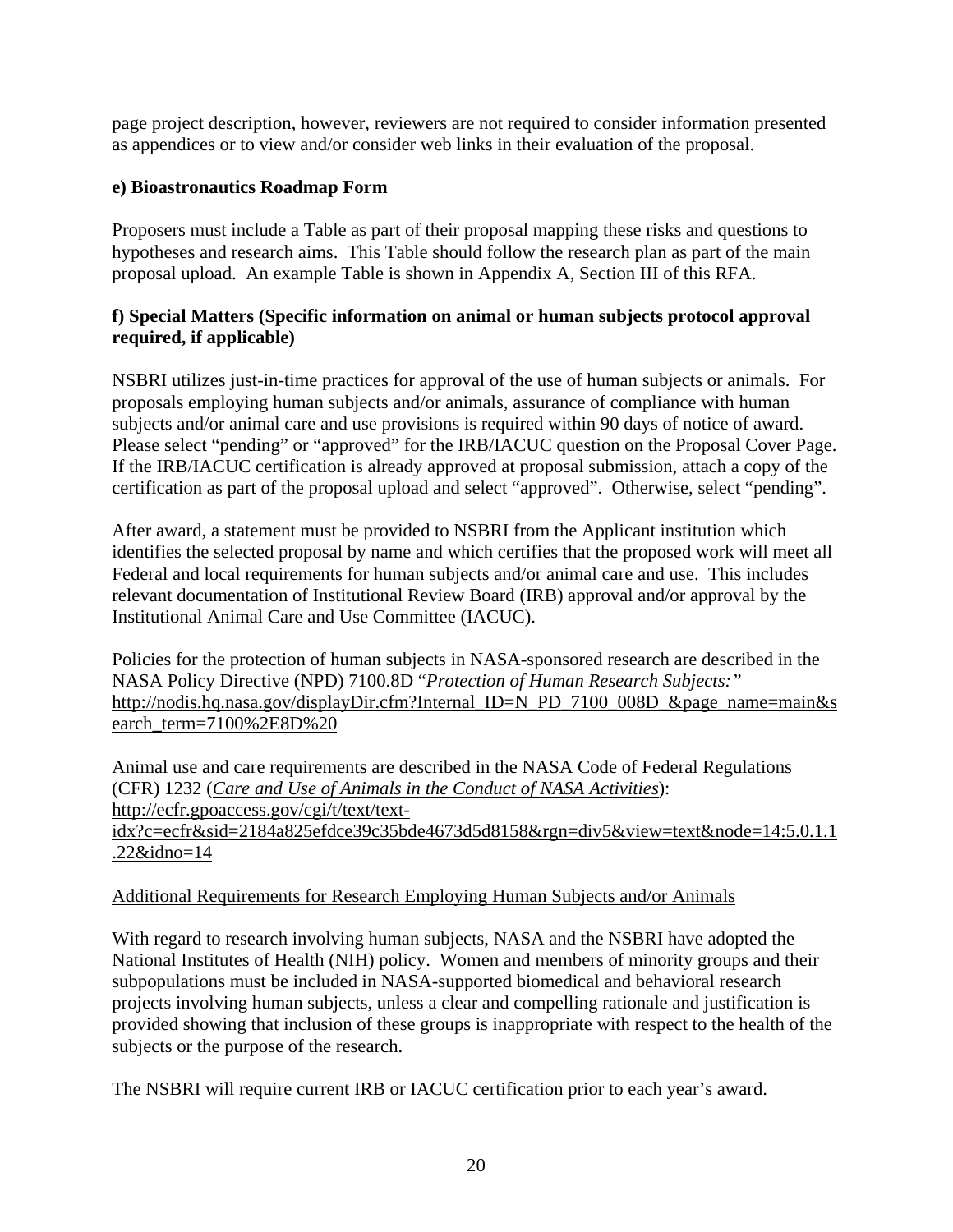page project description, however, reviewers are not required to consider information presented as appendices or to view and/or consider web links in their evaluation of the proposal.

# **e) Bioastronautics Roadmap Form**

Proposers must include a Table as part of their proposal mapping these risks and questions to hypotheses and research aims. This Table should follow the research plan as part of the main proposal upload. An example Table is shown in Appendix A, Section III of this RFA.

# **f) Special Matters (Specific information on animal or human subjects protocol approval required, if applicable)**

NSBRI utilizes just-in-time practices for approval of the use of human subjects or animals. For proposals employing human subjects and/or animals, assurance of compliance with human subjects and/or animal care and use provisions is required within 90 days of notice of award. Please select "pending" or "approved" for the IRB/IACUC question on the Proposal Cover Page. If the IRB/IACUC certification is already approved at proposal submission, attach a copy of the certification as part of the proposal upload and select "approved". Otherwise, select "pending".

After award, a statement must be provided to NSBRI from the Applicant institution which identifies the selected proposal by name and which certifies that the proposed work will meet all Federal and local requirements for human subjects and/or animal care and use. This includes relevant documentation of Institutional Review Board (IRB) approval and/or approval by the Institutional Animal Care and Use Committee (IACUC).

Policies for the protection of human subjects in NASA-sponsored research are described in the NASA Policy Directive (NPD) 7100.8D "*Protection of Human Research Subjects:"* [http://nodis.hq.nasa.gov/displayDir.cfm?Internal\\_ID=N\\_PD\\_7100\\_008D\\_&page\\_name=main&s](http://nodis.hq.nasa.gov/displayDir.cfm?Internal_ID=N_PD_7100_008D_&page_name=main&search_term=7100%2E8D%20) [earch\\_term=7100%2E8D%20](http://nodis.hq.nasa.gov/displayDir.cfm?Internal_ID=N_PD_7100_008D_&page_name=main&search_term=7100%2E8D%20)

Animal use and care requirements are described in the NASA Code of Federal Regulations (CFR) 1232 (*[Care and Use of Animals in the Conduct of NASA Activities](http://ecfr.gpoaccess.gov/cgi/t/text/text-idx?c=ecfr&sid=2184a825efdce39c35bde4673d5d8158&rgn=div5&view=text&node=14:5.0.1.1.22&idno=14)*): [http://ecfr.gpoaccess.gov/cgi/t/text/text](http://ecfr.gpoaccess.gov/cgi/t/text/text-idx?c=ecfr&sid=2184a825efdce39c35bde4673d5d8158&rgn=div5&view=text&node=14:5.0.1.1.22&idno=14)[idx?c=ecfr&sid=2184a825efdce39c35bde4673d5d8158&rgn=div5&view=text&node=14:5.0.1.1](http://ecfr.gpoaccess.gov/cgi/t/text/text-idx?c=ecfr&sid=2184a825efdce39c35bde4673d5d8158&rgn=div5&view=text&node=14:5.0.1.1.22&idno=14) [.22&idno=14](http://ecfr.gpoaccess.gov/cgi/t/text/text-idx?c=ecfr&sid=2184a825efdce39c35bde4673d5d8158&rgn=div5&view=text&node=14:5.0.1.1.22&idno=14)

# Additional Requirements for Research Employing Human Subjects and/or Animals

With regard to research involving human subjects, NASA and the NSBRI have adopted the National Institutes of Health (NIH) policy. Women and members of minority groups and their subpopulations must be included in NASA-supported biomedical and behavioral research projects involving human subjects, unless a clear and compelling rationale and justification is provided showing that inclusion of these groups is inappropriate with respect to the health of the subjects or the purpose of the research.

The NSBRI will require current IRB or IACUC certification prior to each year's award.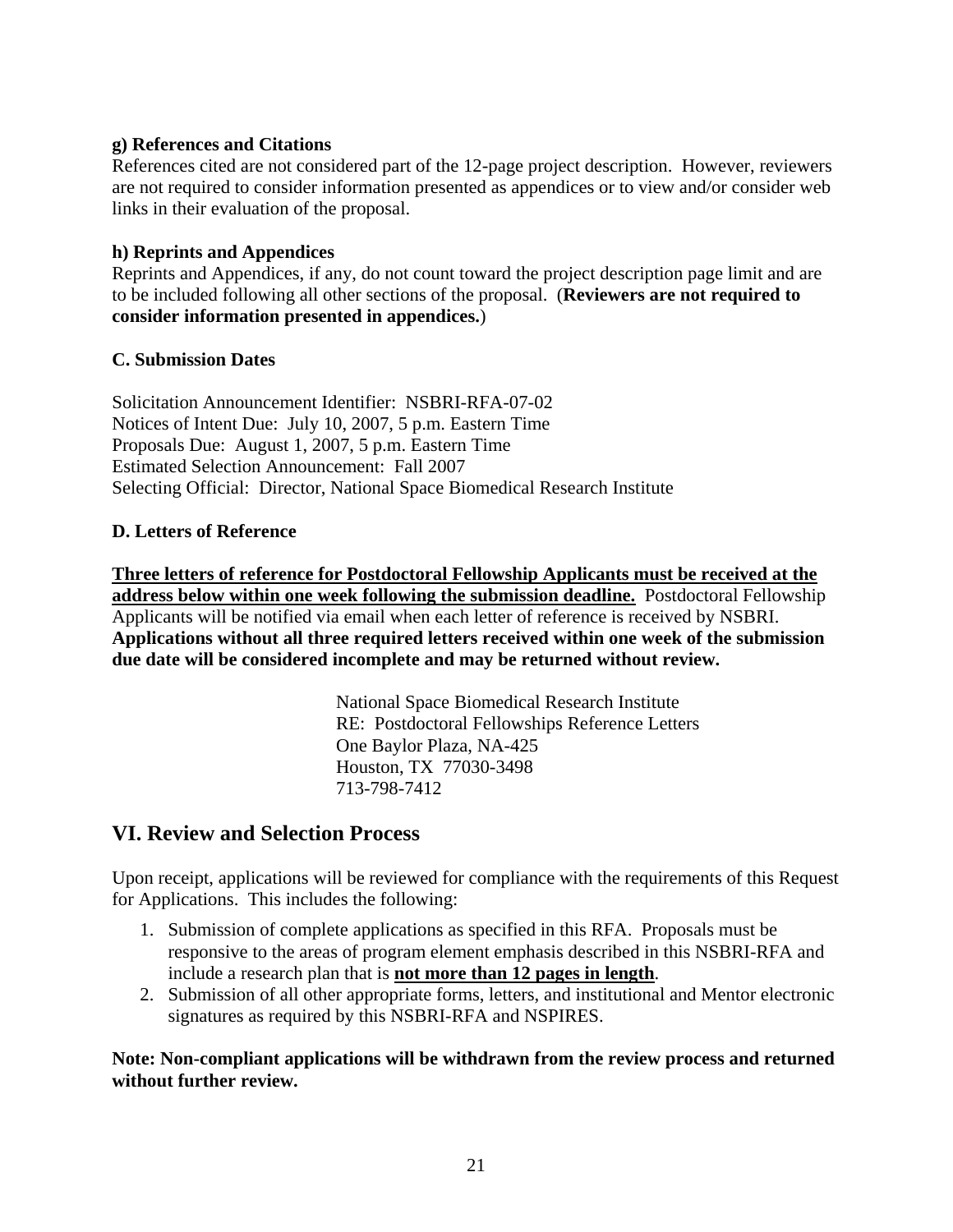# **g) References and Citations**

References cited are not considered part of the 12-page project description. However, reviewers are not required to consider information presented as appendices or to view and/or consider web links in their evaluation of the proposal.

## **h) Reprints and Appendices**

Reprints and Appendices, if any, do not count toward the project description page limit and are to be included following all other sections of the proposal. (**Reviewers are not required to consider information presented in appendices.**)

## **C. Submission Dates**

Solicitation Announcement Identifier: NSBRI-RFA-07-02 Notices of Intent Due: July 10, 2007, 5 p.m. Eastern Time Proposals Due: August 1, 2007, 5 p.m. Eastern Time Estimated Selection Announcement: Fall 2007 Selecting Official: Director, National Space Biomedical Research Institute

## **D. Letters of Reference**

**Three letters of reference for Postdoctoral Fellowship Applicants must be received at the address below within one week following the submission deadline.** Postdoctoral Fellowship Applicants will be notified via email when each letter of reference is received by NSBRI. **Applications without all three required letters received within one week of the submission due date will be considered incomplete and may be returned without review.**

> National Space Biomedical Research Institute RE: Postdoctoral Fellowships Reference Letters One Baylor Plaza, NA-425 Houston, TX 77030-3498 713-798-7412

# **VI. Review and Selection Process**

Upon receipt, applications will be reviewed for compliance with the requirements of this Request for Applications. This includes the following:

- 1. Submission of complete applications as specified in this RFA. Proposals must be responsive to the areas of program element emphasis described in this NSBRI-RFA and include a research plan that is **not more than 12 pages in length**.
- 2. Submission of all other appropriate forms, letters, and institutional and Mentor electronic signatures as required by this NSBRI-RFA and NSPIRES.

**Note: Non-compliant applications will be withdrawn from the review process and returned without further review.**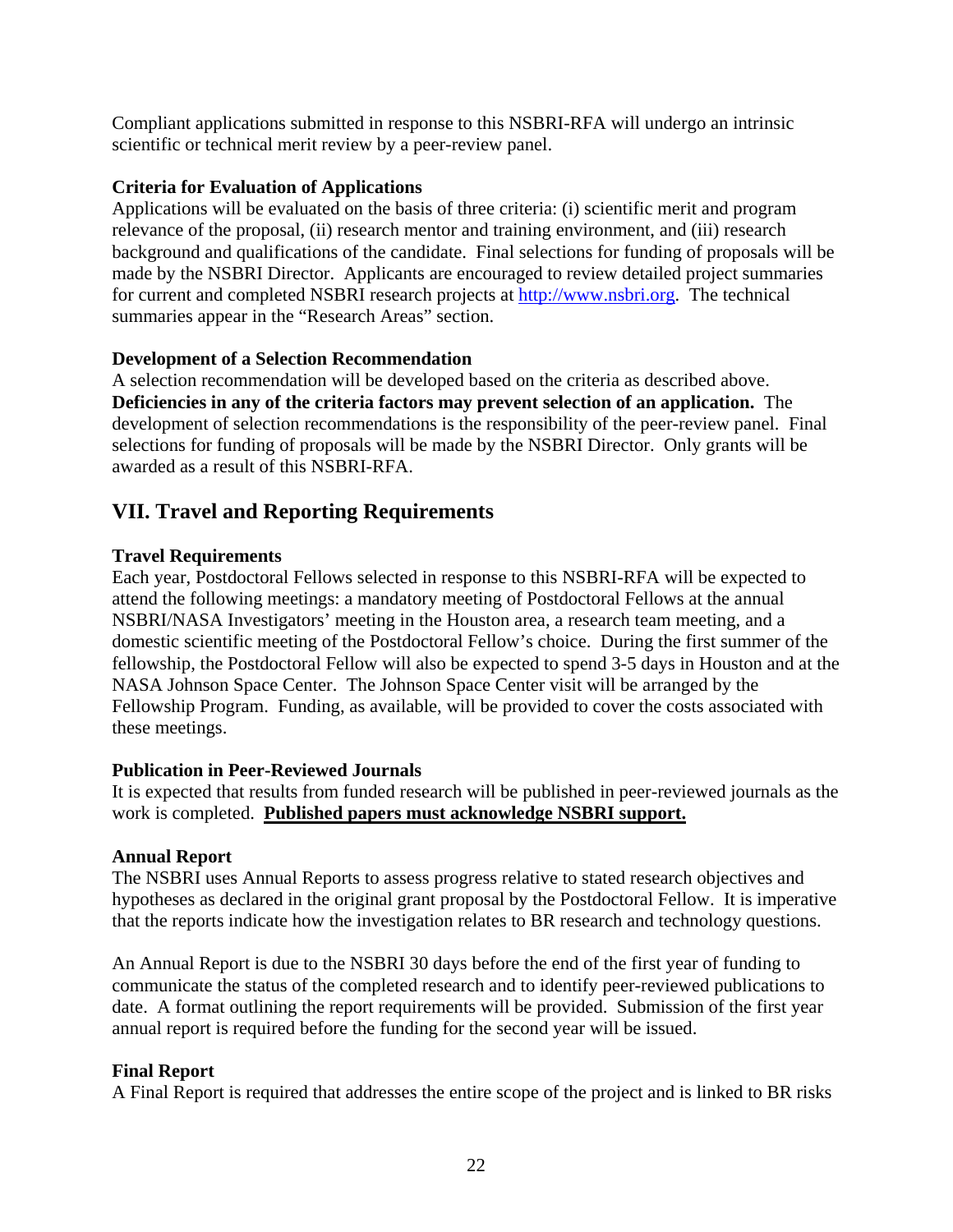Compliant applications submitted in response to this NSBRI-RFA will undergo an intrinsic scientific or technical merit review by a peer-review panel.

# **Criteria for Evaluation of Applications**

Applications will be evaluated on the basis of three criteria: (i) scientific merit and program relevance of the proposal, (ii) research mentor and training environment, and (iii) research background and qualifications of the candidate. Final selections for funding of proposals will be made by the NSBRI Director. Applicants are encouraged to review detailed project summaries for current and completed NSBRI research projects at [http://www.nsbri.org.](http://www.nsbri.org/) The technical summaries appear in the "Research Areas" section.

## **Development of a Selection Recommendation**

A selection recommendation will be developed based on the criteria as described above. **Deficiencies in any of the criteria factors may prevent selection of an application.** The development of selection recommendations is the responsibility of the peer-review panel. Final selections for funding of proposals will be made by the NSBRI Director. Only grants will be awarded as a result of this NSBRI-RFA.

# **VII. Travel and Reporting Requirements**

## **Travel Requirements**

Each year, Postdoctoral Fellows selected in response to this NSBRI-RFA will be expected to attend the following meetings: a mandatory meeting of Postdoctoral Fellows at the annual NSBRI/NASA Investigators' meeting in the Houston area, a research team meeting, and a domestic scientific meeting of the Postdoctoral Fellow's choice. During the first summer of the fellowship, the Postdoctoral Fellow will also be expected to spend 3-5 days in Houston and at the NASA Johnson Space Center. The Johnson Space Center visit will be arranged by the Fellowship Program. Funding, as available, will be provided to cover the costs associated with these meetings.

### **Publication in Peer-Reviewed Journals**

It is expected that results from funded research will be published in peer-reviewed journals as the work is completed. **Published papers must acknowledge NSBRI support.**

### **Annual Report**

The NSBRI uses Annual Reports to assess progress relative to stated research objectives and hypotheses as declared in the original grant proposal by the Postdoctoral Fellow. It is imperative that the reports indicate how the investigation relates to BR research and technology questions.

An Annual Report is due to the NSBRI 30 days before the end of the first year of funding to communicate the status of the completed research and to identify peer-reviewed publications to date. A format outlining the report requirements will be provided. Submission of the first year annual report is required before the funding for the second year will be issued.

# **Final Report**

A Final Report is required that addresses the entire scope of the project and is linked to BR risks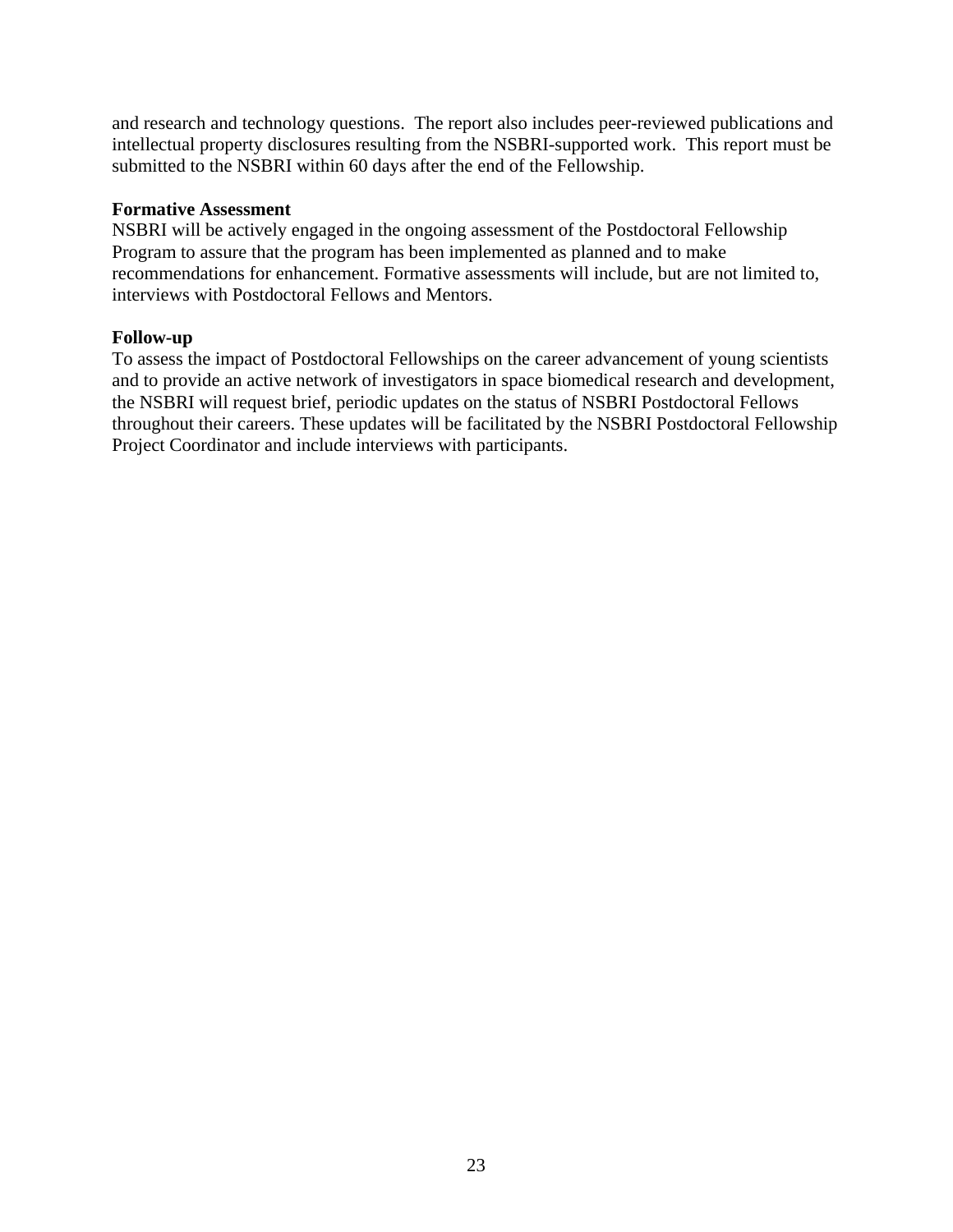and research and technology questions. The report also includes peer-reviewed publications and intellectual property disclosures resulting from the NSBRI-supported work. This report must be submitted to the NSBRI within 60 days after the end of the Fellowship.

#### **Formative Assessment**

NSBRI will be actively engaged in the ongoing assessment of the Postdoctoral Fellowship Program to assure that the program has been implemented as planned and to make recommendations for enhancement. Formative assessments will include, but are not limited to, interviews with Postdoctoral Fellows and Mentors.

### **Follow-up**

To assess the impact of Postdoctoral Fellowships on the career advancement of young scientists and to provide an active network of investigators in space biomedical research and development, the NSBRI will request brief, periodic updates on the status of NSBRI Postdoctoral Fellows throughout their careers. These updates will be facilitated by the NSBRI Postdoctoral Fellowship Project Coordinator and include interviews with participants.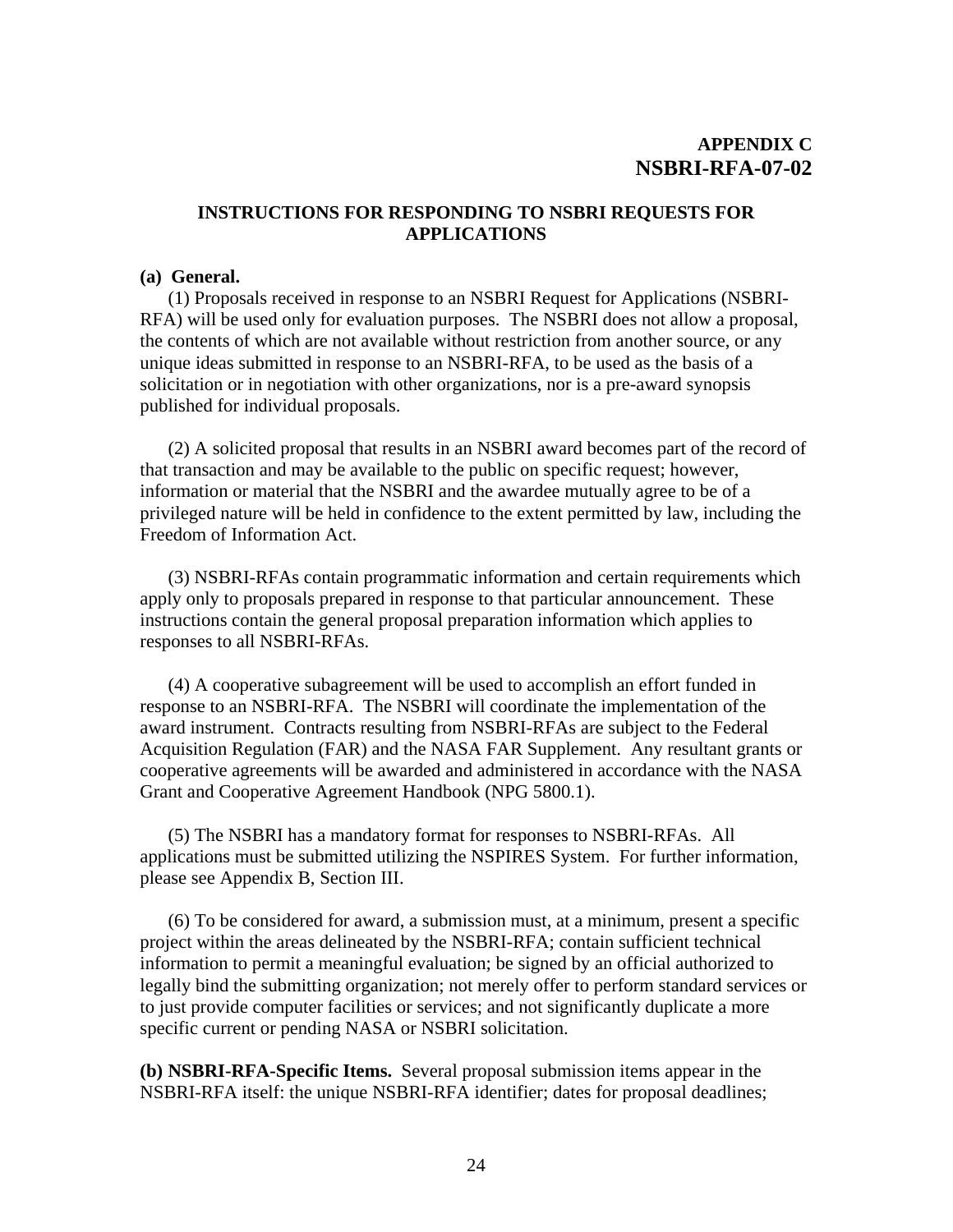## **INSTRUCTIONS FOR RESPONDING TO NSBRI REQUESTS FOR APPLICATIONS**

#### **(a) General.**

 (1) Proposals received in response to an NSBRI Request for Applications (NSBRI-RFA) will be used only for evaluation purposes. The NSBRI does not allow a proposal, the contents of which are not available without restriction from another source, or any unique ideas submitted in response to an NSBRI-RFA, to be used as the basis of a solicitation or in negotiation with other organizations, nor is a pre-award synopsis published for individual proposals.

 (2) A solicited proposal that results in an NSBRI award becomes part of the record of that transaction and may be available to the public on specific request; however, information or material that the NSBRI and the awardee mutually agree to be of a privileged nature will be held in confidence to the extent permitted by law, including the Freedom of Information Act.

(3) NSBRI-RFAs contain programmatic information and certain requirements which apply only to proposals prepared in response to that particular announcement. These instructions contain the general proposal preparation information which applies to responses to all NSBRI-RFAs.

(4) A cooperative subagreement will be used to accomplish an effort funded in response to an NSBRI-RFA. The NSBRI will coordinate the implementation of the award instrument. Contracts resulting from NSBRI-RFAs are subject to the Federal Acquisition Regulation (FAR) and the NASA FAR Supplement. Any resultant grants or cooperative agreements will be awarded and administered in accordance with the NASA Grant and Cooperative Agreement Handbook (NPG 5800.1).

 (5) The NSBRI has a mandatory format for responses to NSBRI-RFAs. All applications must be submitted utilizing the NSPIRES System. For further information, please see Appendix B, Section III.

 (6) To be considered for award, a submission must, at a minimum, present a specific project within the areas delineated by the NSBRI-RFA; contain sufficient technical information to permit a meaningful evaluation; be signed by an official authorized to legally bind the submitting organization; not merely offer to perform standard services or to just provide computer facilities or services; and not significantly duplicate a more specific current or pending NASA or NSBRI solicitation.

**(b) NSBRI-RFA-Specific Items.** Several proposal submission items appear in the NSBRI-RFA itself: the unique NSBRI-RFA identifier; dates for proposal deadlines;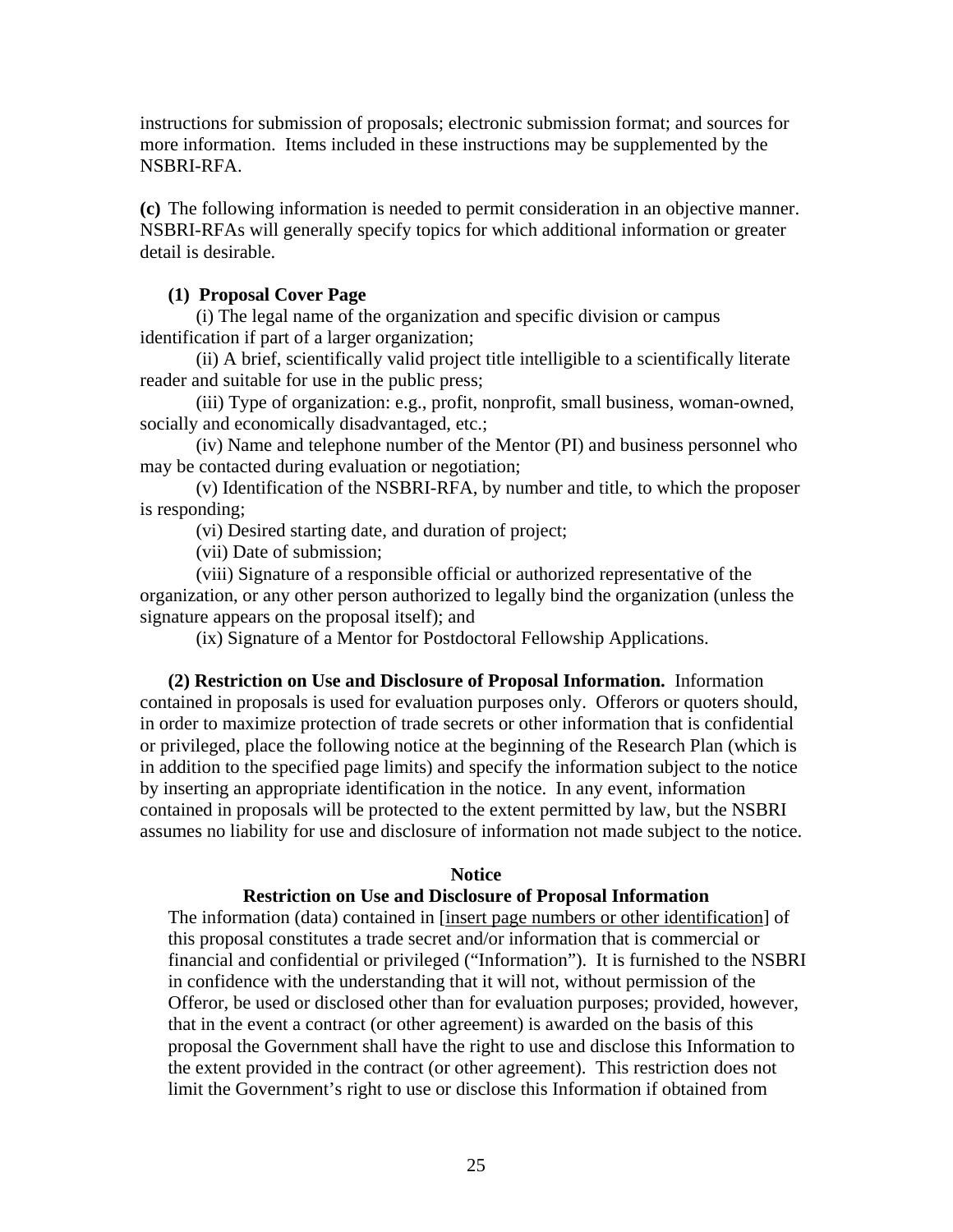instructions for submission of proposals; electronic submission format; and sources for more information. Items included in these instructions may be supplemented by the NSBRI-RFA.

**(c)** The following information is needed to permit consideration in an objective manner. NSBRI-RFAs will generally specify topics for which additional information or greater detail is desirable.

#### **(1) Proposal Cover Page**

 (i) The legal name of the organization and specific division or campus identification if part of a larger organization;

 (ii) A brief, scientifically valid project title intelligible to a scientifically literate reader and suitable for use in the public press;

 (iii) Type of organization: e.g., profit, nonprofit, small business, woman-owned, socially and economically disadvantaged, etc.;

 (iv) Name and telephone number of the Mentor (PI) and business personnel who may be contacted during evaluation or negotiation;

 (v) Identification of the NSBRI-RFA, by number and title, to which the proposer is responding;

(vi) Desired starting date, and duration of project;

(vii) Date of submission;

 (viii) Signature of a responsible official or authorized representative of the organization, or any other person authorized to legally bind the organization (unless the signature appears on the proposal itself); and

(ix) Signature of a Mentor for Postdoctoral Fellowship Applications.

 **(2) Restriction on Use and Disclosure of Proposal Information.** Information contained in proposals is used for evaluation purposes only. Offerors or quoters should, in order to maximize protection of trade secrets or other information that is confidential or privileged, place the following notice at the beginning of the Research Plan (which is in addition to the specified page limits) and specify the information subject to the notice by inserting an appropriate identification in the notice. In any event, information contained in proposals will be protected to the extent permitted by law, but the NSBRI assumes no liability for use and disclosure of information not made subject to the notice.

#### **Notice**

#### **Restriction on Use and Disclosure of Proposal Information**

The information (data) contained in [insert page numbers or other identification] of this proposal constitutes a trade secret and/or information that is commercial or financial and confidential or privileged ("Information"). It is furnished to the NSBRI in confidence with the understanding that it will not, without permission of the Offeror, be used or disclosed other than for evaluation purposes; provided, however, that in the event a contract (or other agreement) is awarded on the basis of this proposal the Government shall have the right to use and disclose this Information to the extent provided in the contract (or other agreement). This restriction does not limit the Government's right to use or disclose this Information if obtained from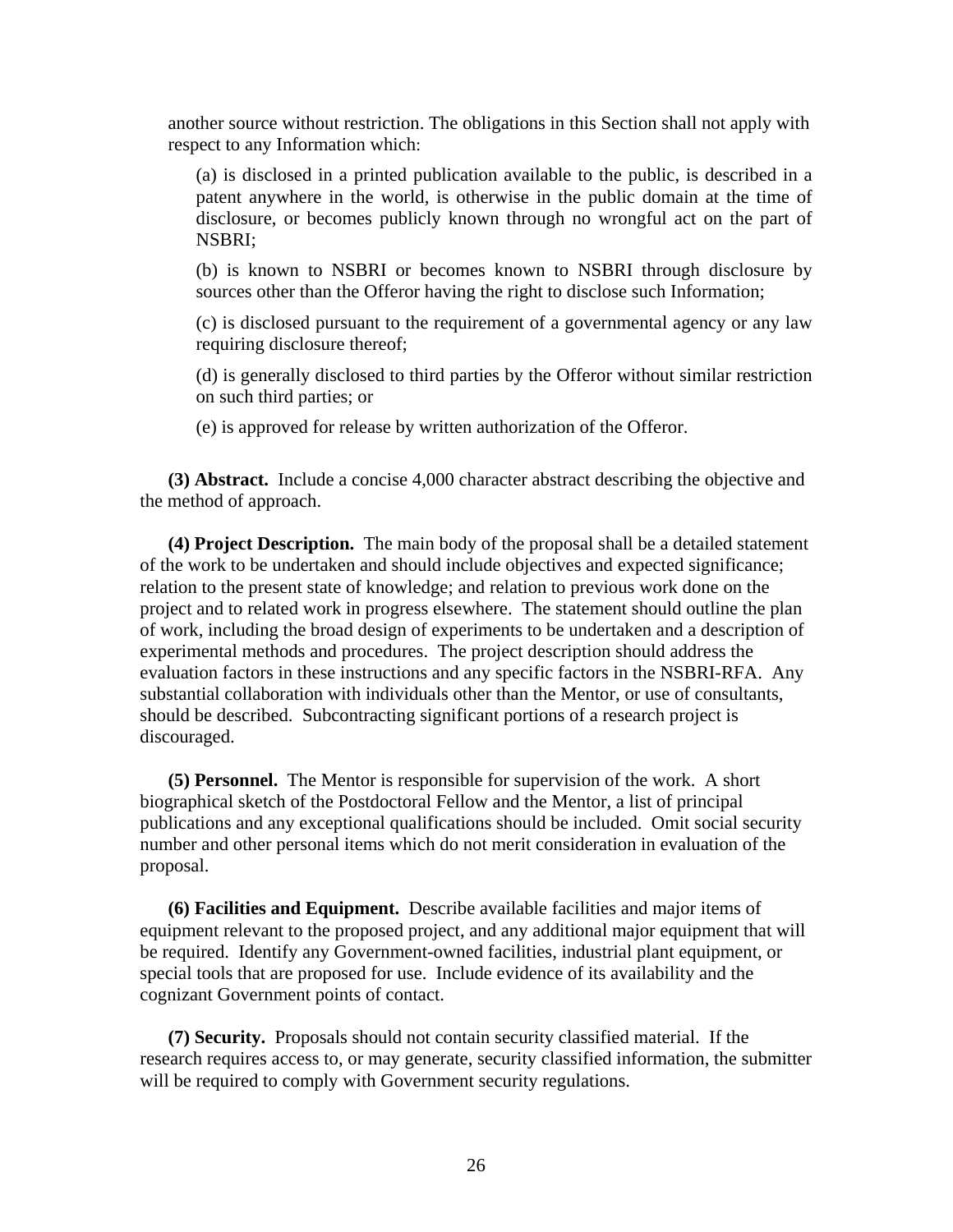another source without restriction. The obligations in this Section shall not apply with respect to any Information which:

(a) is disclosed in a printed publication available to the public, is described in a patent anywhere in the world, is otherwise in the public domain at the time of disclosure, or becomes publicly known through no wrongful act on the part of NSBRI;

(b) is known to NSBRI or becomes known to NSBRI through disclosure by sources other than the Offeror having the right to disclose such Information;

(c) is disclosed pursuant to the requirement of a governmental agency or any law requiring disclosure thereof;

(d) is generally disclosed to third parties by the Offeror without similar restriction on such third parties; or

(e) is approved for release by written authorization of the Offeror.

 **(3) Abstract.** Include a concise 4,000 character abstract describing the objective and the method of approach.

 **(4) Project Description.** The main body of the proposal shall be a detailed statement of the work to be undertaken and should include objectives and expected significance; relation to the present state of knowledge; and relation to previous work done on the project and to related work in progress elsewhere. The statement should outline the plan of work, including the broad design of experiments to be undertaken and a description of experimental methods and procedures. The project description should address the evaluation factors in these instructions and any specific factors in the NSBRI-RFA. Any substantial collaboration with individuals other than the Mentor, or use of consultants, should be described. Subcontracting significant portions of a research project is discouraged.

 **(5) Personnel.** The Mentor is responsible for supervision of the work. A short biographical sketch of the Postdoctoral Fellow and the Mentor, a list of principal publications and any exceptional qualifications should be included. Omit social security number and other personal items which do not merit consideration in evaluation of the proposal.

 **(6) Facilities and Equipment.** Describe available facilities and major items of equipment relevant to the proposed project, and any additional major equipment that will be required. Identify any Government-owned facilities, industrial plant equipment, or special tools that are proposed for use. Include evidence of its availability and the cognizant Government points of contact.

 **(7) Security.** Proposals should not contain security classified material. If the research requires access to, or may generate, security classified information, the submitter will be required to comply with Government security regulations.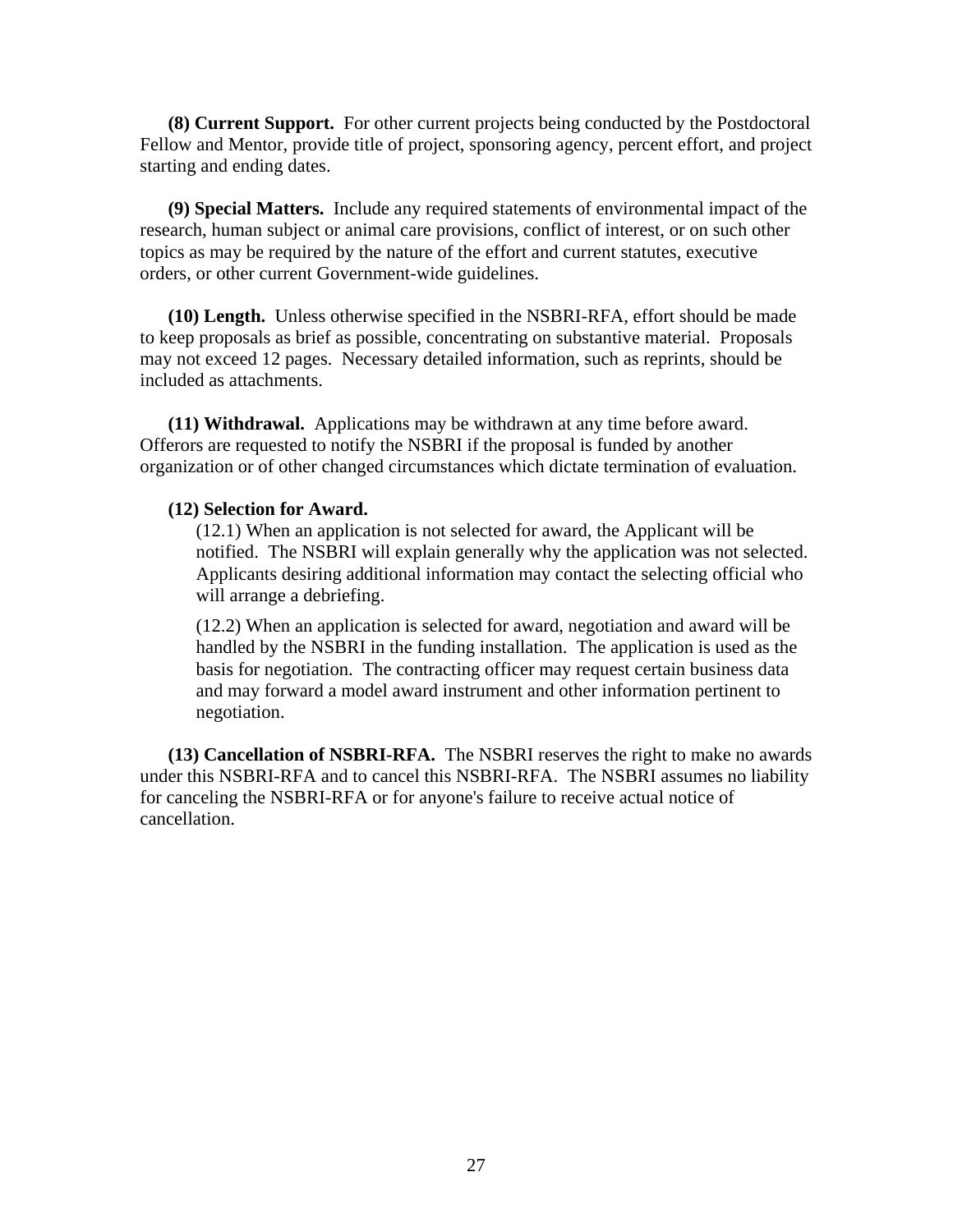**(8) Current Support.** For other current projects being conducted by the Postdoctoral Fellow and Mentor, provide title of project, sponsoring agency, percent effort, and project starting and ending dates.

 **(9) Special Matters.** Include any required statements of environmental impact of the research, human subject or animal care provisions, conflict of interest, or on such other topics as may be required by the nature of the effort and current statutes, executive orders, or other current Government-wide guidelines.

 **(10) Length.** Unless otherwise specified in the NSBRI-RFA, effort should be made to keep proposals as brief as possible, concentrating on substantive material. Proposals may not exceed 12 pages. Necessary detailed information, such as reprints, should be included as attachments.

 **(11) Withdrawal.** Applications may be withdrawn at any time before award. Offerors are requested to notify the NSBRI if the proposal is funded by another organization or of other changed circumstances which dictate termination of evaluation.

#### **(12) Selection for Award.**

(12.1) When an application is not selected for award, the Applicant will be notified. The NSBRI will explain generally why the application was not selected. Applicants desiring additional information may contact the selecting official who will arrange a debriefing.

(12.2) When an application is selected for award, negotiation and award will be handled by the NSBRI in the funding installation. The application is used as the basis for negotiation. The contracting officer may request certain business data and may forward a model award instrument and other information pertinent to negotiation.

 **(13) Cancellation of NSBRI-RFA.** The NSBRI reserves the right to make no awards under this NSBRI-RFA and to cancel this NSBRI-RFA. The NSBRI assumes no liability for canceling the NSBRI-RFA or for anyone's failure to receive actual notice of cancellation.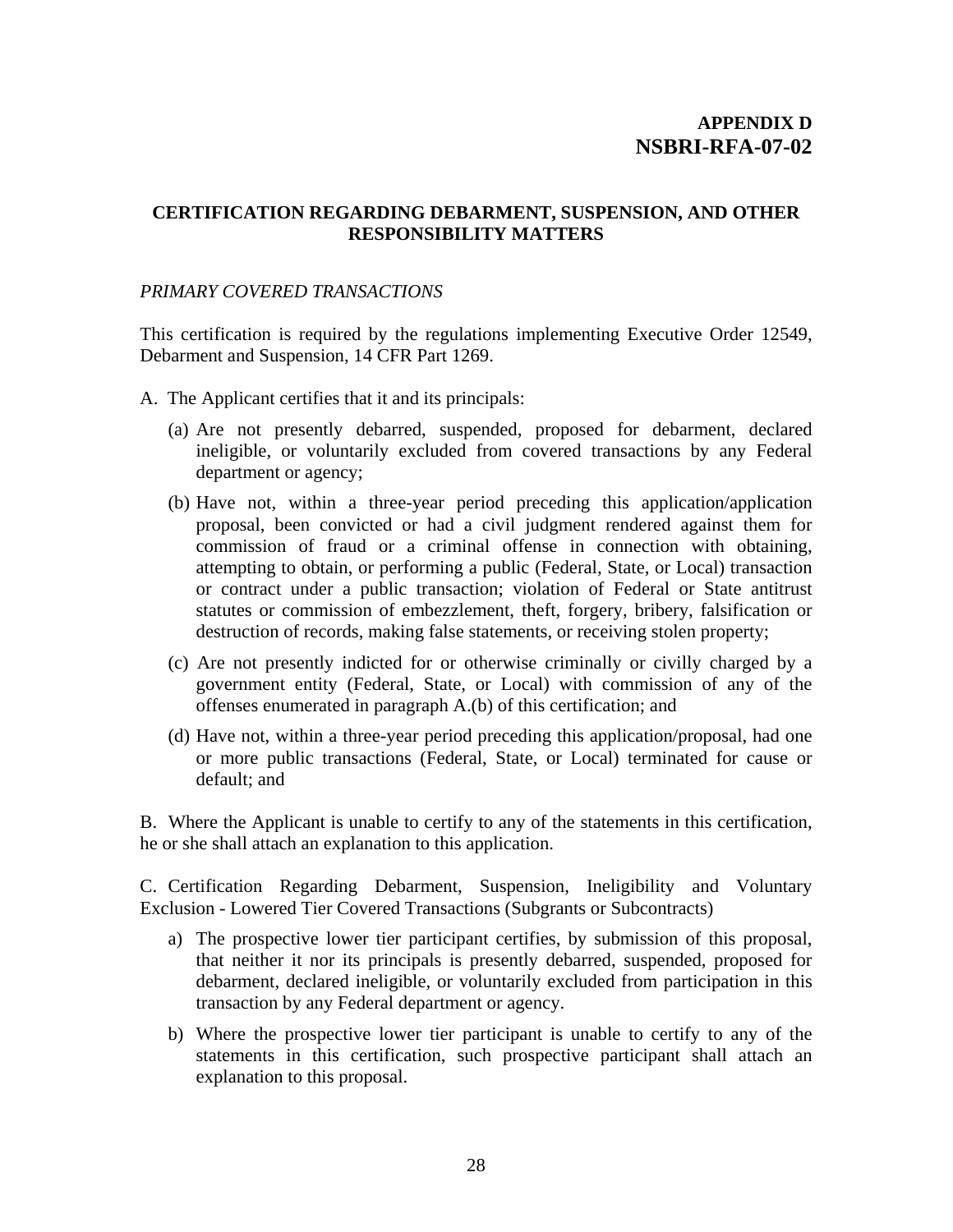# **CERTIFICATION REGARDING DEBARMENT, SUSPENSION, AND OTHER RESPONSIBILITY MATTERS**

## *PRIMARY COVERED TRANSACTIONS*

This certification is required by the regulations implementing Executive Order 12549, Debarment and Suspension, 14 CFR Part 1269.

- A. The Applicant certifies that it and its principals:
	- (a) Are not presently debarred, suspended, proposed for debarment, declared ineligible, or voluntarily excluded from covered transactions by any Federal department or agency;
	- (b) Have not, within a three-year period preceding this application/application proposal, been convicted or had a civil judgment rendered against them for commission of fraud or a criminal offense in connection with obtaining, attempting to obtain, or performing a public (Federal, State, or Local) transaction or contract under a public transaction; violation of Federal or State antitrust statutes or commission of embezzlement, theft, forgery, bribery, falsification or destruction of records, making false statements, or receiving stolen property;
	- (c) Are not presently indicted for or otherwise criminally or civilly charged by a government entity (Federal, State, or Local) with commission of any of the offenses enumerated in paragraph A.(b) of this certification; and
	- (d) Have not, within a three-year period preceding this application/proposal, had one or more public transactions (Federal, State, or Local) terminated for cause or default; and

B. Where the Applicant is unable to certify to any of the statements in this certification, he or she shall attach an explanation to this application.

C. Certification Regarding Debarment, Suspension, Ineligibility and Voluntary Exclusion - Lowered Tier Covered Transactions (Subgrants or Subcontracts)

- a) The prospective lower tier participant certifies, by submission of this proposal, that neither it nor its principals is presently debarred, suspended, proposed for debarment, declared ineligible, or voluntarily excluded from participation in this transaction by any Federal department or agency.
- b) Where the prospective lower tier participant is unable to certify to any of the statements in this certification, such prospective participant shall attach an explanation to this proposal.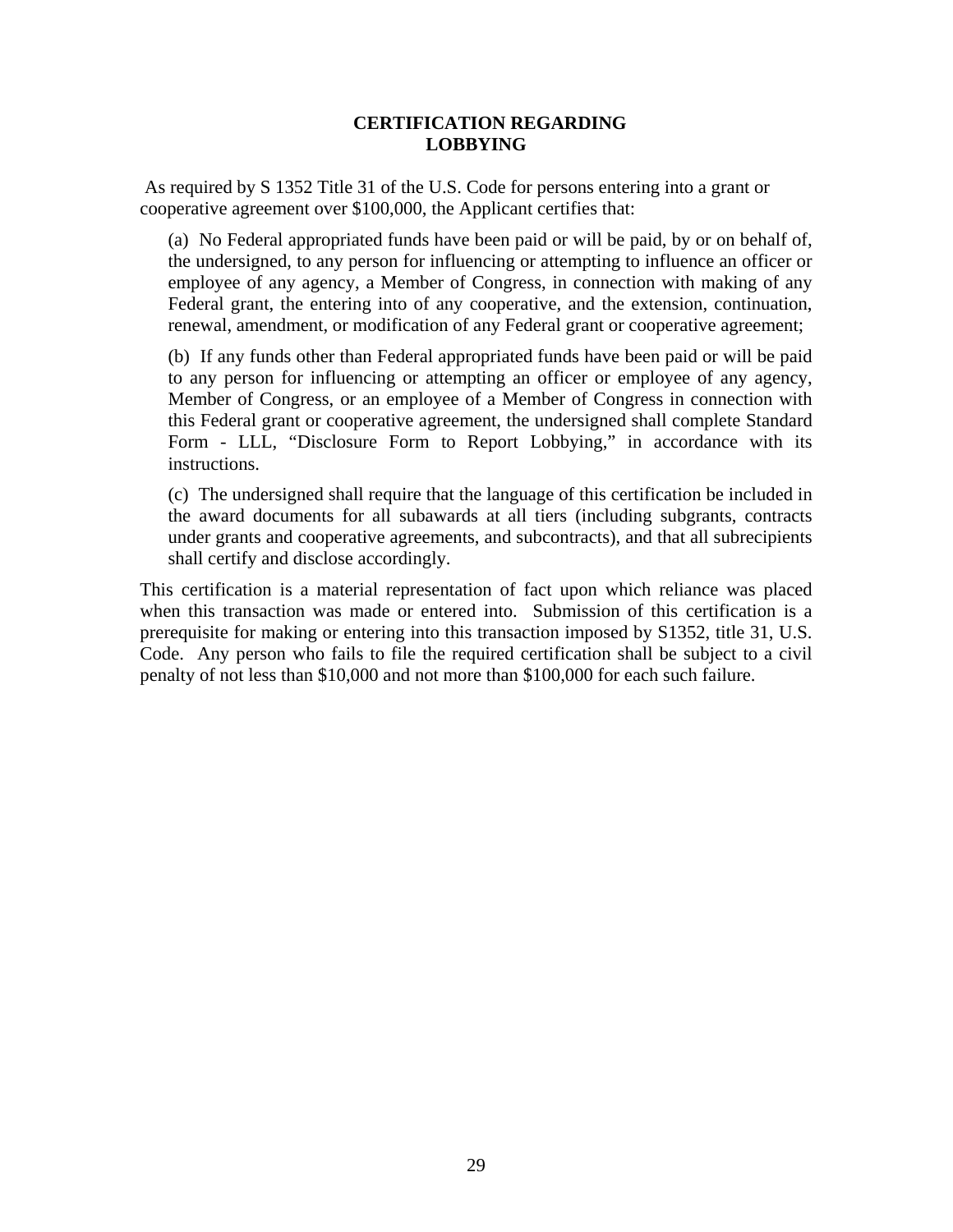### **CERTIFICATION REGARDING LOBBYING**

 As required by S 1352 Title 31 of the U.S. Code for persons entering into a grant or cooperative agreement over \$100,000, the Applicant certifies that:

(a) No Federal appropriated funds have been paid or will be paid, by or on behalf of, the undersigned, to any person for influencing or attempting to influence an officer or employee of any agency, a Member of Congress, in connection with making of any Federal grant, the entering into of any cooperative, and the extension, continuation, renewal, amendment, or modification of any Federal grant or cooperative agreement;

(b) If any funds other than Federal appropriated funds have been paid or will be paid to any person for influencing or attempting an officer or employee of any agency, Member of Congress, or an employee of a Member of Congress in connection with this Federal grant or cooperative agreement, the undersigned shall complete Standard Form - LLL, "Disclosure Form to Report Lobbying," in accordance with its instructions.

(c) The undersigned shall require that the language of this certification be included in the award documents for all subawards at all tiers (including subgrants, contracts under grants and cooperative agreements, and subcontracts), and that all subrecipients shall certify and disclose accordingly.

This certification is a material representation of fact upon which reliance was placed when this transaction was made or entered into. Submission of this certification is a prerequisite for making or entering into this transaction imposed by S1352, title 31, U.S. Code. Any person who fails to file the required certification shall be subject to a civil penalty of not less than \$10,000 and not more than \$100,000 for each such failure.